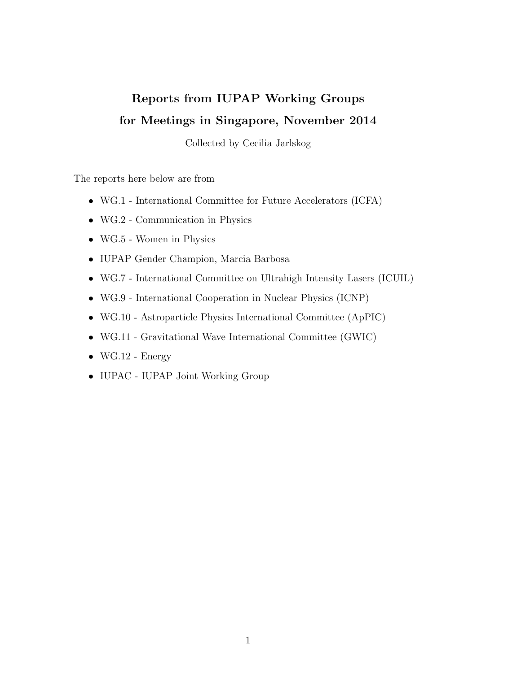## Reports from IUPAP Working Groups for Meetings in Singapore, November 2014

Collected by Cecilia Jarlskog

The reports here below are from

- WG.1 International Committee for Future Accelerators (ICFA)
- WG.2 Communication in Physics
- WG.5 Women in Physics
- IUPAP Gender Champion, Marcia Barbosa
- WG.7 International Committee on Ultrahigh Intensity Lasers (ICUIL)
- WG.9 International Cooperation in Nuclear Physics (ICNP)
- WG.10 Astroparticle Physics International Committee (ApPIC)
- WG.11 Gravitational Wave International Committee (GWIC)
- $\bullet$  WG.12 Energy
- IUPAC IUPAP Joint Working Group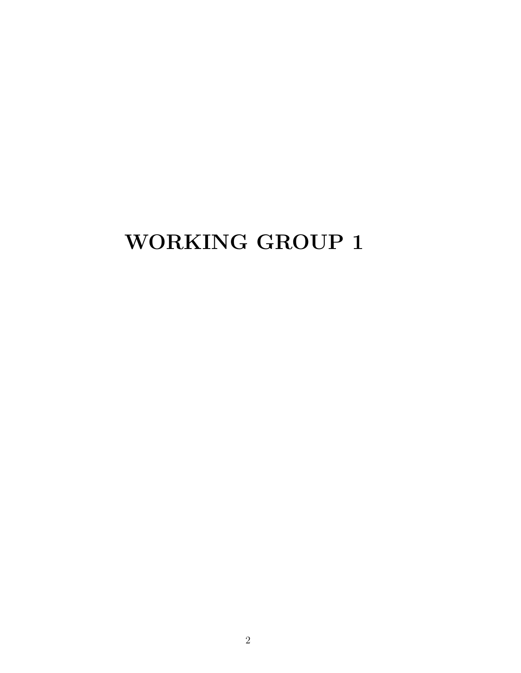## WORKING GROUP 1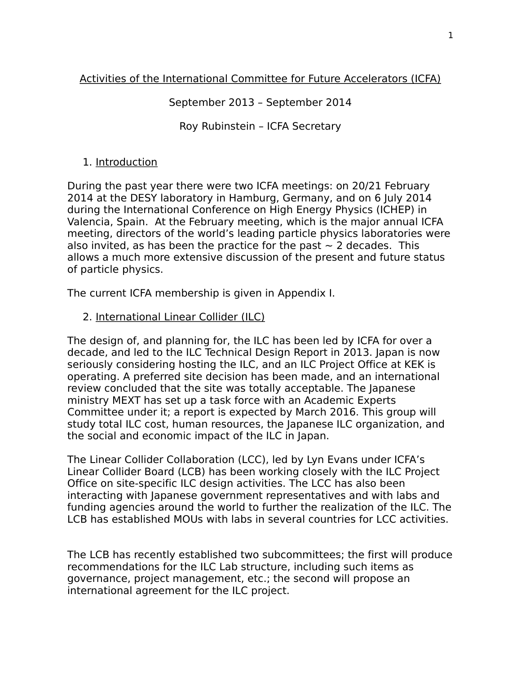### Activities of the International Committee for Future Accelerators (ICFA)

September 2013 – September 2014

Roy Rubinstein – ICFA Secretary

#### 1. Introduction

During the past year there were two ICFA meetings: on 20/21 February 2014 at the DESY laboratory in Hamburg, Germany, and on 6 July 2014 during the International Conference on High Energy Physics (ICHEP) in Valencia, Spain. At the February meeting, which is the major annual ICFA meeting, directors of the world's leading particle physics laboratories were also invited, as has been the practice for the past  $\sim$  2 decades. This allows a much more extensive discussion of the present and future status of particle physics.

The current ICFA membership is given in Appendix I.

#### 2. International Linear Collider (ILC)

The design of, and planning for, the ILC has been led by ICFA for over a decade, and led to the ILC Technical Design Report in 2013. Japan is now seriously considering hosting the ILC, and an ILC Project Office at KEK is operating. A preferred site decision has been made, and an international review concluded that the site was totally acceptable. The Japanese ministry MEXT has set up a task force with an Academic Experts Committee under it; a report is expected by March 2016. This group will study total ILC cost, human resources, the Japanese ILC organization, and the social and economic impact of the ILC in Japan.

The Linear Collider Collaboration (LCC), led by Lyn Evans under ICFA's Linear Collider Board (LCB) has been working closely with the ILC Project Office on site-specific ILC design activities. The LCC has also been interacting with Japanese government representatives and with labs and funding agencies around the world to further the realization of the ILC. The LCB has established MOUs with labs in several countries for LCC activities.

The LCB has recently established two subcommittees; the first will produce recommendations for the ILC Lab structure, including such items as governance, project management, etc.; the second will propose an international agreement for the ILC project.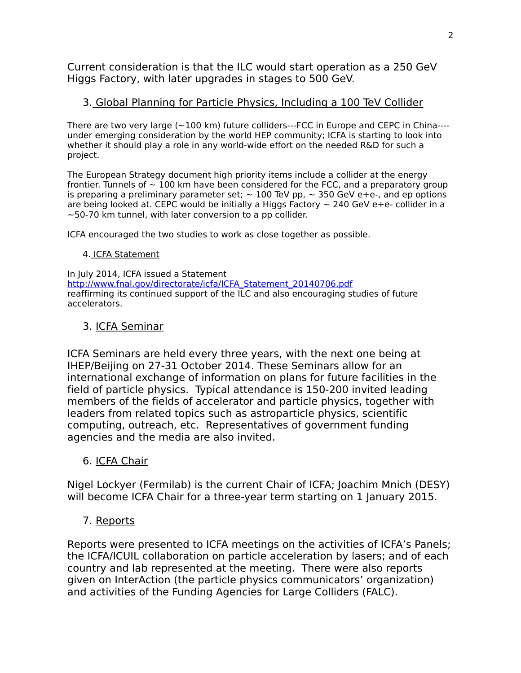Current consideration is that the ILC would start operation as a 250 GeV Higgs Factory, with later upgrades in stages to 500 GeV.

#### 3. Global Planning for Particle Physics, Including a 100 TeV Collider

There are two very large  $(-100 \text{ km})$  future colliders---FCC in Europe and CEPC in China---under emerging consideration by the world HEP community; ICFA is starting to look into whether it should play a role in any world-wide effort on the needed R&D for such a project.

The European Strategy document high priority items include a collider at the energy frontier. Tunnels of  $\sim$  100 km have been considered for the FCC, and a preparatory group is preparing a preliminary parameter set;  $\sim 100$  TeV pp,  $\sim 350$  GeV e+e-, and ep options are being looked at. CEPC would be initially a Higgs Factory  $\sim$  240 GeV e+e- collider in a  $\sim$  50-70 km tunnel, with later conversion to a pp collider.

ICFA encouraged the two studies to work as close together as possible.

#### 4. ICFA Statement

In July 2014, ICFA issued a Statement http://www.fnal.gov/directorate/icfa/ICFA\_Statement\_20140706.pdf reaffirming its continued support of the ILC and also encouraging studies of future accelerators.

#### 3. ICFA Seminar

ICFA Seminars are held every three years, with the next one being at IHEP/Beijing on 27-31 October 2014. These Seminars allow for an international exchange of information on plans for future facilities in the field of particle physics. Typical attendance is 150-200 invited leading members of the fields of accelerator and particle physics, together with leaders from related topics such as astroparticle physics, scientific computing, outreach, etc. Representatives of government funding agencies and the media are also invited.

#### 6. ICFA Chair

Nigel Lockyer (Fermilab) is the current Chair of ICFA; Joachim Mnich (DESY) will become ICFA Chair for a three-year term starting on 1 January 2015.

### 7. Reports

Reports were presented to ICFA meetings on the activities of ICFA's Panels; the ICFA/ICUIL collaboration on particle acceleration by lasers; and of each country and lab represented at the meeting. There were also reports given on InterAction (the particle physics communicators' organization) and activities of the Funding Agencies for Large Colliders (FALC).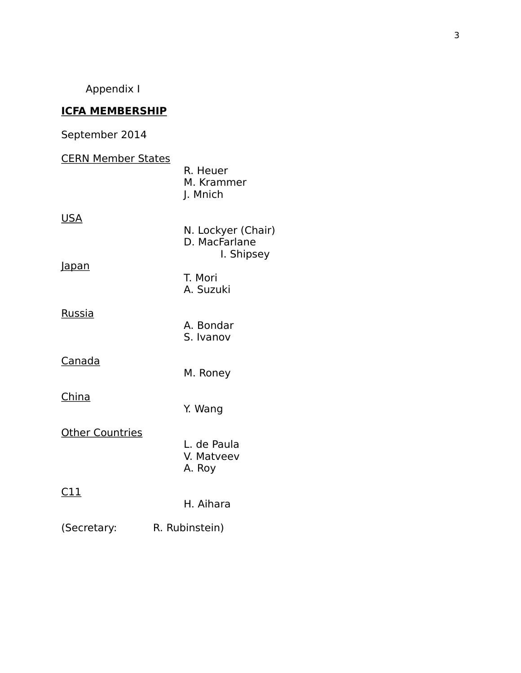Appendix I

### **ICFA MEMBERSHIP**

## September 2014

| <b>CERN Member States</b> | R. Heuer<br>M. Krammer<br>J. Mnich                |
|---------------------------|---------------------------------------------------|
| <u>USA</u>                | N. Lockyer (Chair)<br>D. MacFarlane<br>I. Shipsey |
| <u>Japan</u>              | T. Mori<br>A. Suzuki                              |
| <b>Russia</b>             | A. Bondar<br>S. Ivanov                            |
| Canada                    | M. Roney                                          |
| <u>China</u>              | Y. Wang                                           |
| <b>Other Countries</b>    | L. de Paula<br>V. Matveev<br>A. Roy               |
| <u>C11</u>                | H. Aihara                                         |
| (Secretary:               | R. Rubinstein)                                    |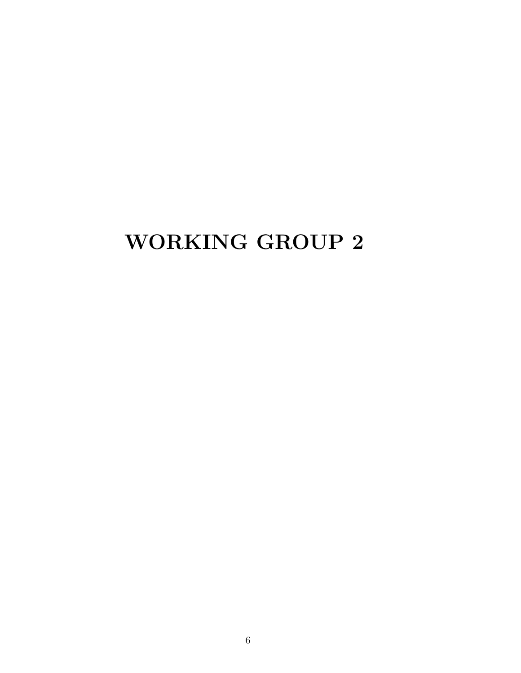## WORKING GROUP 2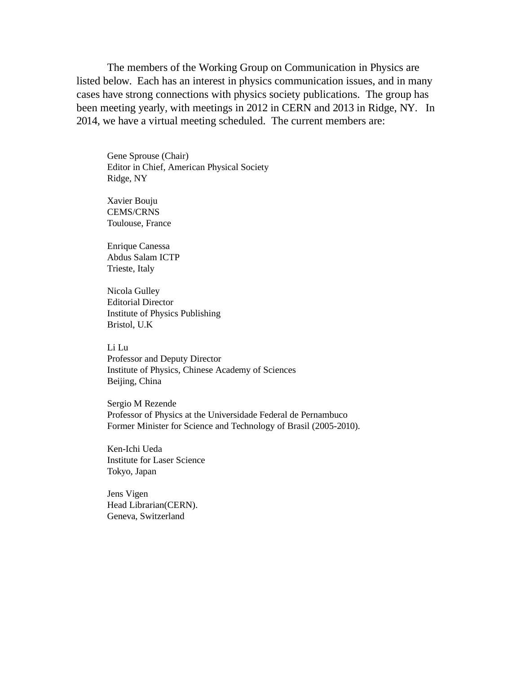The members of the Working Group on Communication in Physics are listed below. Each has an interest in physics communication issues, and in many cases have strong connections with physics society publications. The group has been meeting yearly, with meetings in 2012 in CERN and 2013 in Ridge, NY. In 2014, we have a virtual meeting scheduled. The current members are:

Gene Sprouse (Chair) Editor in Chief, American Physical Society Ridge, NY

Xavier Bouju CEMS/CRNS Toulouse, France

Enrique Canessa Abdus Salam ICTP Trieste, Italy

Nicola Gulley Editorial Director Institute of Physics Publishing Bristol, U.K

Li Lu

Professor and Deputy Director Institute of Physics, Chinese Academy of Sciences Beijing, China

Sergio M Rezende Professor of Physics at the Universidade Federal de Pernambuco Former Minister for Science and Technology of Brasil (2005-2010).

Ken-Ichi Ueda Institute for Laser Science Tokyo, Japan

Jens Vigen Head Librarian(CERN). Geneva, Switzerland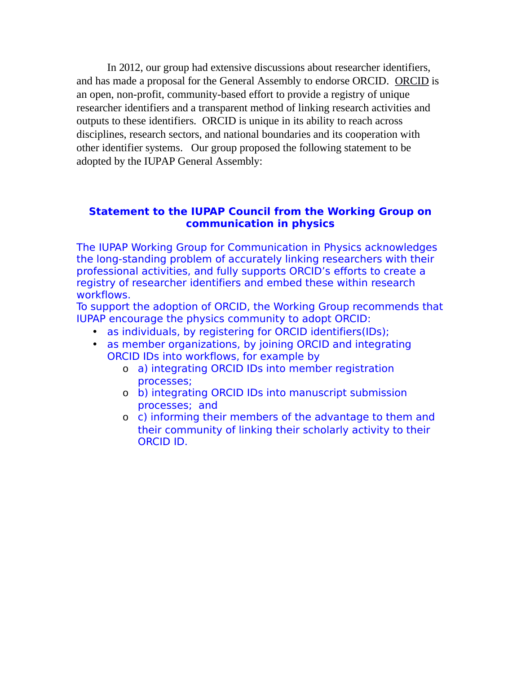In 2012, our group had extensive discussions about researcher identifiers, and has made a proposal for the General Assembly to endorse ORCID. ORCID is an open, non-profit, community-based effort to provide a registry of unique researcher identifiers and a transparent method of linking research activities and outputs to these identifiers. ORCID is unique in its ability to reach across disciplines, research sectors, and national boundaries and its cooperation with other identifier systems. Our group proposed the following statement to be adopted by the IUPAP General Assembly:

#### **Statement to the IUPAP Council from the Working Group on communication in physics**

The IUPAP Working Group for Communication in Physics acknowledges the long-standing problem of accurately linking researchers with their professional activities, and fully supports ORCID's efforts to create a registry of researcher identifiers and embed these within research workflows.

To support the adoption of ORCID, the Working Group recommends that IUPAP encourage the physics community to adopt ORCID:

- as individuals, by registering for ORCID identifiers(IDs);
- as member organizations, by joining ORCID and integrating ORCID IDs into workflows, for example by
	- o a) integrating ORCID IDs into member registration processes;
	- o b) integrating ORCID IDs into manuscript submission processes; and
	- o c) informing their members of the advantage to them and their community of linking their scholarly activity to their ORCID ID.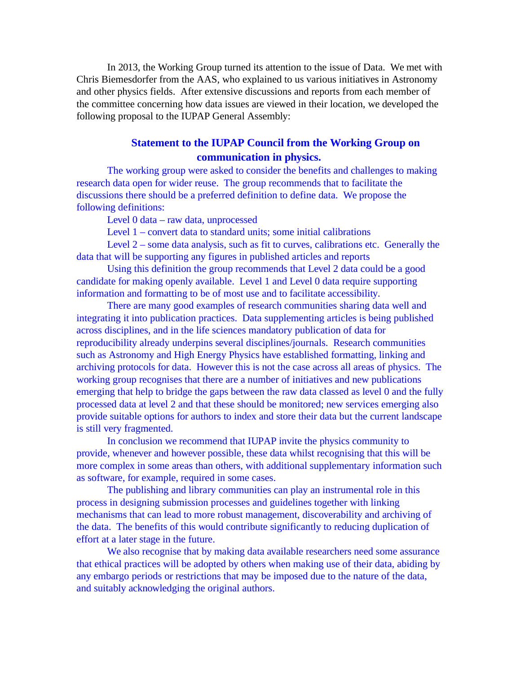In 2013, the Working Group turned its attention to the issue of Data. We met with Chris Biemesdorfer from the AAS, who explained to us various initiatives in Astronomy and other physics fields. After extensive discussions and reports from each member of the committee concerning how data issues are viewed in their location, we developed the following proposal to the IUPAP General Assembly:

#### **Statement to the IUPAP Council from the Working Group on communication in physics.**

The working group were asked to consider the benefits and challenges to making research data open for wider reuse. The group recommends that to facilitate the discussions there should be a preferred definition to define data. We propose the following definitions:

Level 0 data – raw data, unprocessed

Level 1 – convert data to standard units; some initial calibrations

Level 2 – some data analysis, such as fit to curves, calibrations etc. Generally the data that will be supporting any figures in published articles and reports

Using this definition the group recommends that Level 2 data could be a good candidate for making openly available. Level 1 and Level 0 data require supporting information and formatting to be of most use and to facilitate accessibility.

There are many good examples of research communities sharing data well and integrating it into publication practices. Data supplementing articles is being published across disciplines, and in the life sciences mandatory publication of data for reproducibility already underpins several disciplines/journals. Research communities such as Astronomy and High Energy Physics have established formatting, linking and archiving protocols for data. However this is not the case across all areas of physics. The working group recognises that there are a number of initiatives and new publications emerging that help to bridge the gaps between the raw data classed as level 0 and the fully processed data at level 2 and that these should be monitored; new services emerging also provide suitable options for authors to index and store their data but the current landscape is still very fragmented.

In conclusion we recommend that IUPAP invite the physics community to provide, whenever and however possible, these data whilst recognising that this will be more complex in some areas than others, with additional supplementary information such as software, for example, required in some cases.

The publishing and library communities can play an instrumental role in this process in designing submission processes and guidelines together with linking mechanisms that can lead to more robust management, discoverability and archiving of the data. The benefits of this would contribute significantly to reducing duplication of effort at a later stage in the future.

We also recognise that by making data available researchers need some assurance that ethical practices will be adopted by others when making use of their data, abiding by any embargo periods or restrictions that may be imposed due to the nature of the data, and suitably acknowledging the original authors.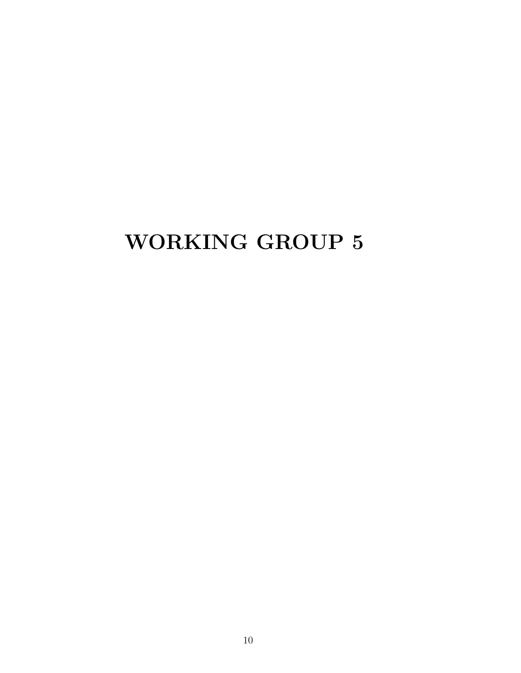## WORKING GROUP 5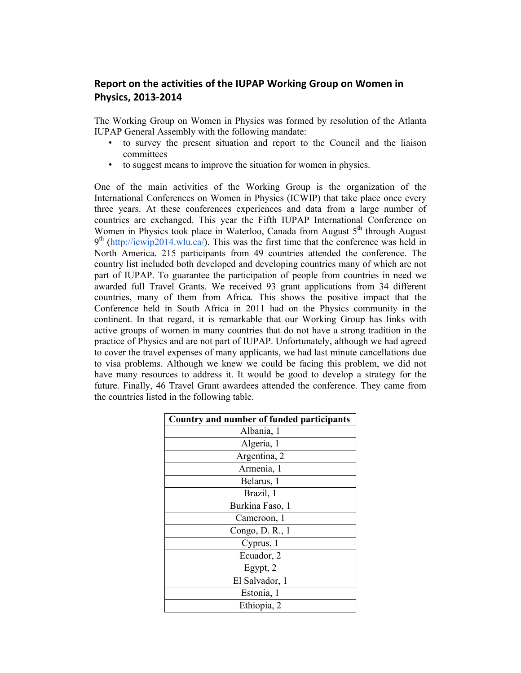#### Report on the activities of the IUPAP Working Group on Women in **Physics, 2013-2014**

The Working Group on Women in Physics was formed by resolution of the Atlanta IUPAP General Assembly with the following mandate:

- to survey the present situation and report to the Council and the liaison committees
- to suggest means to improve the situation for women in physics.

One of the main activities of the Working Group is the organization of the International Conferences on Women in Physics (ICWIP) that take place once every three years. At these conferences experiences and data from a large number of countries are exchanged. This year the Fifth IUPAP International Conference on Women in Physics took place in Waterloo, Canada from August  $5<sup>th</sup>$  through August  $9<sup>th</sup>$  (http://icwip2014.wlu.ca/). This was the first time that the conference was held in North America. 215 participants from 49 countries attended the conference. The country list included both developed and developing countries many of which are not part of IUPAP. To guarantee the participation of people from countries in need we awarded full Travel Grants. We received 93 grant applications from 34 different countries, many of them from Africa. This shows the positive impact that the Conference held in South Africa in 2011 had on the Physics community in the continent. In that regard, it is remarkable that our Working Group has links with active groups of women in many countries that do not have a strong tradition in the practice of Physics and are not part of IUPAP. Unfortunately, although we had agreed to cover the travel expenses of many applicants, we had last minute cancellations due to visa problems. Although we knew we could be facing this problem, we did not have many resources to address it. It would be good to develop a strategy for the future. Finally, 46 Travel Grant awardees attended the conference. They came from the countries listed in the following table.

| Country and number of funded participants |  |  |  |
|-------------------------------------------|--|--|--|
| Albania, 1                                |  |  |  |
| Algeria, 1                                |  |  |  |
| Argentina, 2                              |  |  |  |
| Armenia, 1                                |  |  |  |
| Belarus, 1                                |  |  |  |
| Brazil, 1                                 |  |  |  |
| Burkina Faso, 1                           |  |  |  |
| Cameroon, 1                               |  |  |  |
| Congo, D. R., 1                           |  |  |  |
| Cyprus, 1                                 |  |  |  |
| Ecuador, 2                                |  |  |  |
| Egypt, 2                                  |  |  |  |
| El Salvador, 1                            |  |  |  |
| Estonia, 1                                |  |  |  |
| Ethiopia, 2                               |  |  |  |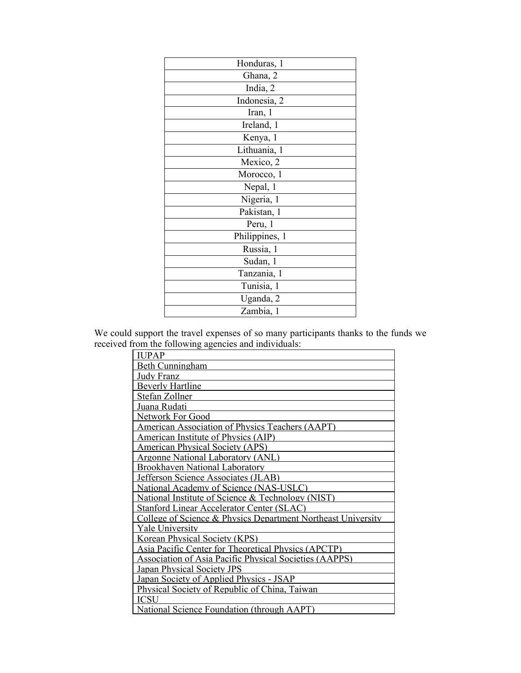| Honduras, 1    |  |  |  |
|----------------|--|--|--|
| Ghana, 2       |  |  |  |
| India, 2       |  |  |  |
| Indonesia, 2   |  |  |  |
| Iran, 1        |  |  |  |
| Ireland, 1     |  |  |  |
| Kenya, 1       |  |  |  |
| Lithuania, 1   |  |  |  |
| Mexico, 2      |  |  |  |
| Morocco, 1     |  |  |  |
| Nepal, 1       |  |  |  |
| Nigeria, 1     |  |  |  |
| Pakistan, 1    |  |  |  |
| Peru, 1        |  |  |  |
| Philippines, 1 |  |  |  |
| Russia, 1      |  |  |  |
| Sudan, 1       |  |  |  |
| Tanzania, 1    |  |  |  |
| Tunisia, 1     |  |  |  |
| Uganda, 2      |  |  |  |
| Zambia, 1      |  |  |  |

We could support the travel expenses of so many participants thanks to the funds we received from the following agencies and individuals:

| <b>IUPAP</b>                                                  |  |  |
|---------------------------------------------------------------|--|--|
| <b>Beth Cunningham</b>                                        |  |  |
| Judy Franz                                                    |  |  |
| <b>Beverly Hartline</b>                                       |  |  |
| Stefan Zollner                                                |  |  |
| Juana Rudati                                                  |  |  |
| <b>Network For Good</b>                                       |  |  |
| <b>American Association of Physics Teachers (AAPT)</b>        |  |  |
| <b>American Institute of Physics (AIP)</b>                    |  |  |
| <b>American Physical Society (APS)</b>                        |  |  |
| Argonne National Laboratory (ANL)                             |  |  |
| <b>Brookhaven National Laboratory</b>                         |  |  |
| <b>Jefferson Science Associates (JLAB)</b>                    |  |  |
| National Academy of Science (NAS-USLC)                        |  |  |
| National Institute of Science & Technology (NIST)             |  |  |
| <b>Stanford Linear Accelerator Center (SLAC)</b>              |  |  |
| College of Science & Physics Department Northeast University  |  |  |
| <b>Yale University</b>                                        |  |  |
| Korean Physical Society (KPS)                                 |  |  |
| <b>Asia Pacific Center for Theoretical Physics (APCTP)</b>    |  |  |
| <b>Association of Asia Pacific Physical Societies (AAPPS)</b> |  |  |
| <b>Japan Physical Society JPS</b>                             |  |  |
| Japan Society of Applied Physics - JSAP                       |  |  |
| Physical Society of Republic of China, Taiwan                 |  |  |
| ICSU                                                          |  |  |
| National Science Foundation (through AAPT)                    |  |  |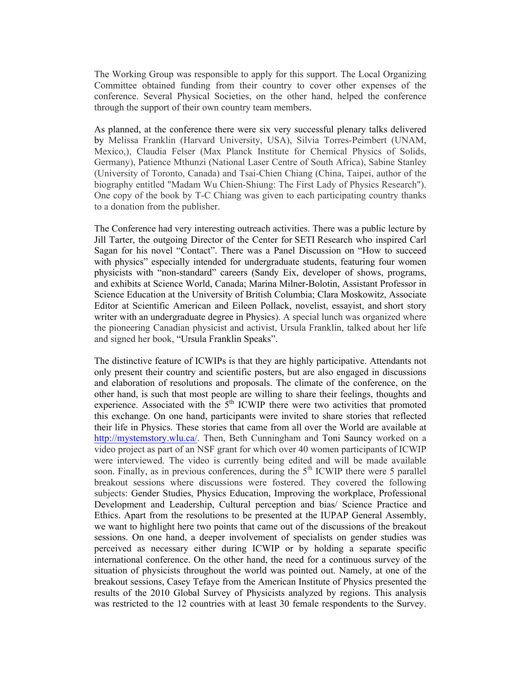The Working Group was responsible to apply for this support. The Local Organizing Committee obtained funding from their country to cover other expenses of the conference. Several Physical Societies, on the other hand, helped the conference through the support of their own country team members.

As planned, at the conference there were six very successful plenary talks delivered by Melissa Franklin (Harvard University, USA), Silvia Torres-Peimbert (UNAM, Mexico,), Claudia Felser (Max Planck Institute for Chemical Physics of Solids, Germany), Patience Mthunzi (National Laser Centre of South Africa), Sabine Stanley (University of Toronto, Canada) and Tsai-Chien Chiang (China, Taipei, author of the biography entitled "Madam Wu Chien-Shiung: The First Lady of Physics Research"). One copy of the book by T-C Chiang was given to each participating country thanks to a donation from the publisher.

The Conference had very interesting outreach activities. There was a public lecture by Jill Tarter, the outgoing Director of the Center for SETI Research who inspired Carl Sagan for his novel "Contact". There was a Panel Discussion on "How to succeed with physics" especially intended for undergraduate students, featuring four women physicists with "non-standard" careers (Sandy Eix, developer of shows, programs, and exhibits at Science World, Canada; Marina Milner-Bolotin, Assistant Professor in Science Education at the University of British Columbia; Clara Moskowitz, Associate Editor at Scientific American and Eileen Pollack, novelist, essayist, and short story writer with an undergraduate degree in Physics). A special lunch was organized where the pioneering Canadian physicist and activist, Ursula Franklin, talked about her life and signed her book, "Ursula Franklin Speaks".

The distinctive feature of ICWIPs is that they are highly participative. Attendants not only present their country and scientific posters, but are also engaged in discussions and elaboration of resolutions and proposals. The climate of the conference, on the other hand, is such that most people are willing to share their feelings, thoughts and experience. Associated with the  $5<sup>th</sup>$  ICWIP there were two activities that promoted this exchange. On one hand, participants were invited to share stories that reflected their life in Physics. These stories that came from all over the World are available at http://mystemstory.wlu.ca/. Then, Beth Cunningham and Toni Sauncy worked on a video project as part of an NSF grant for which over 40 women participants of ICWIP were interviewed. The video is currently being edited and will be made available soon. Finally, as in previous conferences, during the  $5<sup>th</sup>$  ICWIP there were 5 parallel breakout sessions where discussions were fostered. They covered the following subjects: Gender Studies, Physics Education, Improving the workplace, Professional Development and Leadership, Cultural perception and bias/ Science Practice and Ethics. Apart from the resolutions to be presented at the IUPAP General Assembly, we want to highlight here two points that came out of the discussions of the breakout sessions. On one hand, a deeper involvement of specialists on gender studies was perceived as necessary either during ICWIP or by holding a separate specific international conference. On the other hand, the need for a continuous survey of the situation of physicists throughout the world was pointed out. Namely, at one of the breakout sessions, Casey Tefaye from the American Institute of Physics presented the results of the 2010 Global Survey of Physicists analyzed by regions. This analysis was restricted to the 12 countries with at least 30 female respondents to the Survey.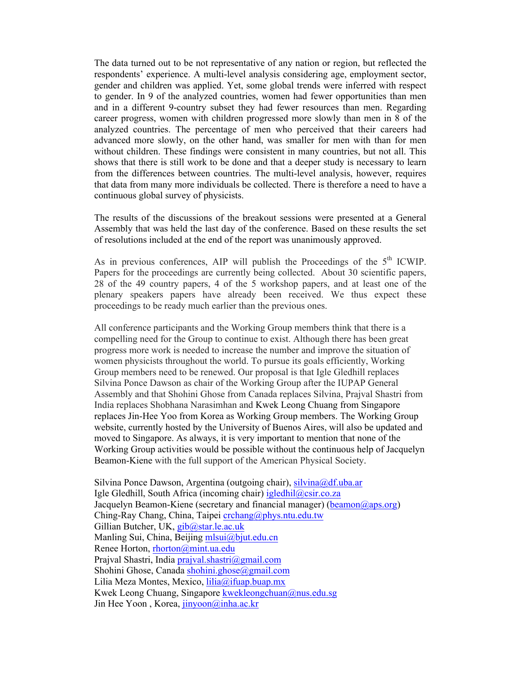The data turned out to be not representative of any nation or region, but reflected the respondents' experience. A multi-level analysis considering age, employment sector, gender and children was applied. Yet, some global trends were inferred with respect to gender. In 9 of the analyzed countries, women had fewer opportunities than men and in a different 9-country subset they had fewer resources than men. Regarding career progress, women with children progressed more slowly than men in 8 of the analyzed countries. The percentage of men who perceived that their careers had advanced more slowly, on the other hand, was smaller for men with than for men without children. These findings were consistent in many countries, but not all. This shows that there is still work to be done and that a deeper study is necessary to learn from the differences between countries. The multi-level analysis, however, requires that data from many more individuals be collected. There is therefore a need to have a continuous global survey of physicists.

The results of the discussions of the breakout sessions were presented at a General Assembly that was held the last day of the conference. Based on these results the set of resolutions included at the end of the report was unanimously approved.

As in previous conferences, AIP will publish the Proceedings of the  $5<sup>th</sup>$  ICWIP. Papers for the proceedings are currently being collected. About 30 scientific papers, 28 of the 49 country papers, 4 of the 5 workshop papers, and at least one of the plenary speakers papers have already been received. We thus expect these proceedings to be ready much earlier than the previous ones.

All conference participants and the Working Group members think that there is a compelling need for the Group to continue to exist. Although there has been great progress more work is needed to increase the number and improve the situation of women physicists throughout the world. To pursue its goals efficiently, Working Group members need to be renewed. Our proposal is that Igle Gledhill replaces Silvina Ponce Dawson as chair of the Working Group after the IUPAP General Assembly and that Shohini Ghose from Canada replaces Silvina, Prajval Shastri from India replaces Shobhana Narasimhan and Kwek Leong Chuang from Singapore replaces Jin-Hee Yoo from Korea as Working Group members. The Working Group website, currently hosted by the University of Buenos Aires, will also be updated and moved to Singapore. As always, it is very important to mention that none of the Working Group activities would be possible without the continuous help of Jacquelyn Beamon-Kiene with the full support of the American Physical Society.

Silvina Ponce Dawson, Argentina (outgoing chair), silvina@df.uba.ar Igle Gledhill, South Africa (incoming chair) igledhil@csir.co.za Jacquelyn Beamon-Kiene (secretary and financial manager) (beamon $(\partial_i$ aps.org) Ching-Ray Chang, China, Taipei  $\frac{\text{cichang}}{\text{(aphys}}$ .ntu.edu.tw Gillian Butcher, UK, gib@star.le.ac.uk Manling Sui, China, Beijing mlsui@bjut.edu.cn Renee Horton, rhorton@mint.ua.edu Prajval Shastri, India prajval.shastri@gmail.com Shohini Ghose, Canada shohini.ghose@gmail.com Lilia Meza Montes, Mexico, lilia@ifuap.buap.mx Kwek Leong Chuang, Singapore kwekleongchuan@nus.edu.sg Jin Hee Yoon, Korea, jinyoon@inha.ac.kr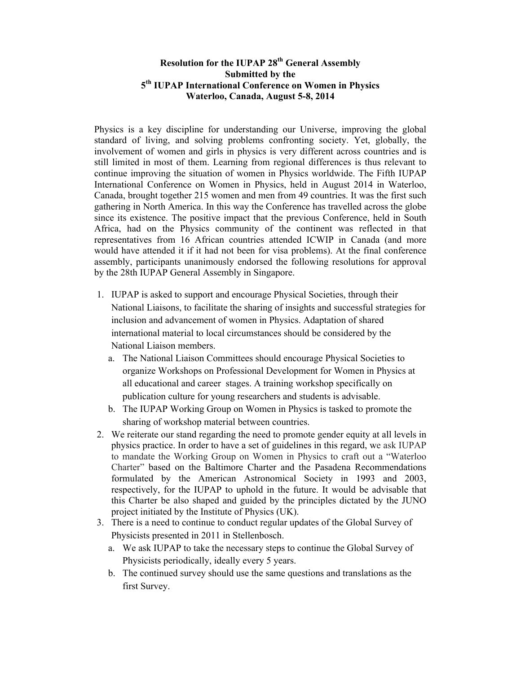#### **Resolution for the IUPAP 28th General Assembly Submitted by the 5th IUPAP International Conference on Women in Physics Waterloo, Canada, August 5-8, 2014**

Physics is a key discipline for understanding our Universe, improving the global standard of living, and solving problems confronting society. Yet, globally, the involvement of women and girls in physics is very different across countries and is still limited in most of them. Learning from regional differences is thus relevant to continue improving the situation of women in Physics worldwide. The Fifth IUPAP International Conference on Women in Physics, held in August 2014 in Waterloo, Canada, brought together 215 women and men from 49 countries. It was the first such gathering in North America. In this way the Conference has travelled across the globe since its existence. The positive impact that the previous Conference, held in South Africa, had on the Physics community of the continent was reflected in that representatives from 16 African countries attended ICWIP in Canada (and more would have attended it if it had not been for visa problems). At the final conference assembly, participants unanimously endorsed the following resolutions for approval by the 28th IUPAP General Assembly in Singapore.

- 1. IUPAP is asked to support and encourage Physical Societies, through their National Liaisons, to facilitate the sharing of insights and successful strategies for inclusion and advancement of women in Physics. Adaptation of shared international material to local circumstances should be considered by the National Liaison members.
	- a. The National Liaison Committees should encourage Physical Societies to organize Workshops on Professional Development for Women in Physics at all educational and career stages. A training workshop specifically on publication culture for young researchers and students is advisable.
	- b. The IUPAP Working Group on Women in Physics is tasked to promote the sharing of workshop material between countries.
- 2. We reiterate our stand regarding the need to promote gender equity at all levels in physics practice. In order to have a set of guidelines in this regard, we ask IUPAP to mandate the Working Group on Women in Physics to craft out a "Waterloo Charter" based on the Baltimore Charter and the Pasadena Recommendations formulated by the American Astronomical Society in 1993 and 2003, respectively, for the IUPAP to uphold in the future. It would be advisable that this Charter be also shaped and guided by the principles dictated by the JUNO project initiated by the Institute of Physics (UK).
- 3. There is a need to continue to conduct regular updates of the Global Survey of Physicists presented in 2011 in Stellenbosch.
	- a. We ask IUPAP to take the necessary steps to continue the Global Survey of Physicists periodically, ideally every 5 years.
	- b. The continued survey should use the same questions and translations as the first Survey.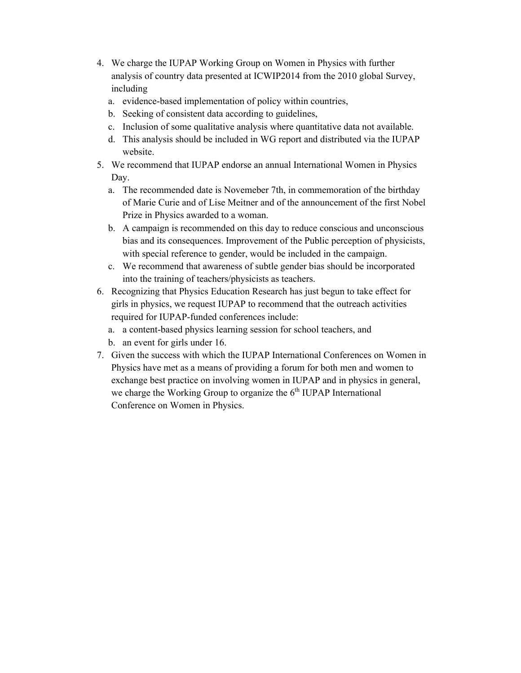- 4. We charge the IUPAP Working Group on Women in Physics with further analysis of country data presented at ICWIP2014 from the 2010 global Survey, including
	- a. evidence-based implementation of policy within countries,
	- b. Seeking of consistent data according to guidelines,
	- c. Inclusion of some qualitative analysis where quantitative data not available.
	- d. This analysis should be included in WG report and distributed via the IUPAP website.
- 5. We recommend that IUPAP endorse an annual International Women in Physics Day.
	- a. The recommended date is Novemeber 7th, in commemoration of the birthday of Marie Curie and of Lise Meitner and of the announcement of the first Nobel Prize in Physics awarded to a woman.
	- b. A campaign is recommended on this day to reduce conscious and unconscious bias and its consequences. Improvement of the Public perception of physicists, with special reference to gender, would be included in the campaign.
	- c. We recommend that awareness of subtle gender bias should be incorporated into the training of teachers/physicists as teachers.
- 6. Recognizing that Physics Education Research has just begun to take effect for girls in physics, we request IUPAP to recommend that the outreach activities required for IUPAP-funded conferences include:
	- a. a content-based physics learning session for school teachers, and
	- b. an event for girls under 16.
- 7. Given the success with which the IUPAP International Conferences on Women in Physics have met as a means of providing a forum for both men and women to exchange best practice on involving women in IUPAP and in physics in general, we charge the Working Group to organize the  $6<sup>th</sup> IUPAP$  International Conference on Women in Physics.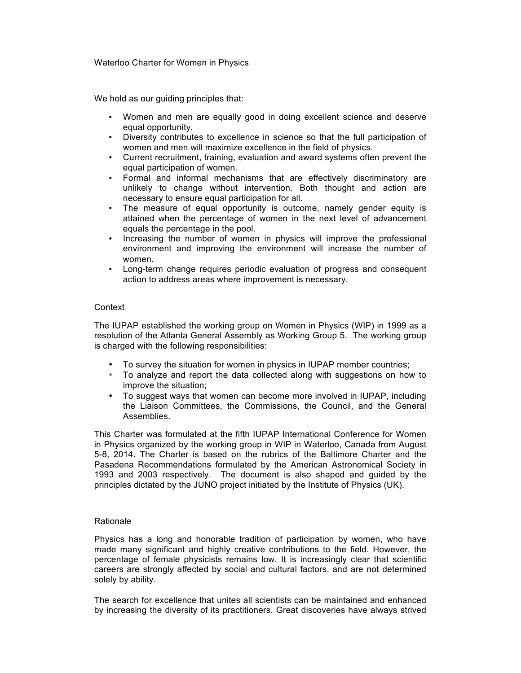#### Waterloo Charter for Women in Physics

We hold as our quiding principles that:

- Women and men are equally good in doing excellent science and deserve equal opportunity.
- Diversity contributes to excellence in science so that the full participation of women and men will maximize excellence in the field of physics.
- Current recruitment, training, evaluation and award systems often prevent the equal participation of women.
- Formal and informal mechanisms that are effectively discriminatory are unlikely to change without intervention. Both thought and action are necessary to ensure equal participation for all.
- The measure of equal opportunity is outcome, namely gender equity is attained when the percentage of women in the next level of advancement equals the percentage in the pool.
- Increasing the number of women in physics will improve the professional environment and improving the environment will increase the number of women.
- Long-term change requires periodic evaluation of progress and consequent action to address areas where improvement is necessary.

#### **Context**

The IUPAP established the working group on Women in Physics (WIP) in 1999 as a resolution of the Atlanta General Assembly as Working Group 5. The working group is charged with the following responsibilities:

- To survey the situation for women in physics in IUPAP member countries;
- To analyze and report the data collected along with suggestions on how to improve the situation;
- To suggest ways that women can become more involved in IUPAP, including the Liaison Committees, the Commissions, the Council, and the General Assemblies.

This Charter was formulated at the fifth IUPAP International Conference for Women in Physics organized by the working group in WIP in Waterloo, Canada from August 5-8, 2014. The Charter is based on the rubrics of the Baltimore Charter and the Pasadena Recommendations formulated by the American Astronomical Society in 1993 and 2003 respectively. The document is also shaped and guided by the principles dictated by the JUNO project initiated by the Institute of Physics (UK).

#### Rationale

Physics has a long and honorable tradition of participation by women, who have made many significant and highly creative contributions to the field. However, the percentage of female physicists remains low. It is increasingly clear that scientific careers are strongly affected by social and cultural factors, and are not determined solely by ability.

The search for excellence that unites all scientists can be maintained and enhanced by increasing the diversity of its practitioners. Great discoveries have always strived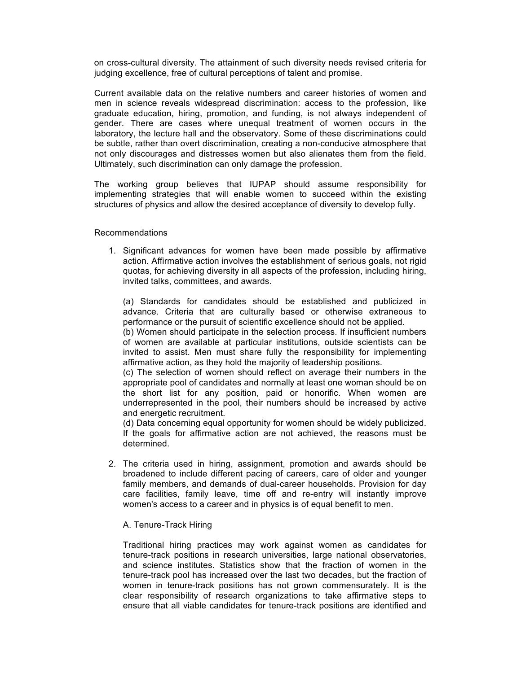on cross-cultural diversity. The attainment of such diversity needs revised criteria for judging excellence, free of cultural perceptions of talent and promise.

Current available data on the relative numbers and career histories of women and men in science reveals widespread discrimination: access to the profession, like graduate education, hiring, promotion, and funding, is not always independent of gender. There are cases where unequal treatment of women occurs in the laboratory, the lecture hall and the observatory. Some of these discriminations could be subtle, rather than overt discrimination, creating a non-conducive atmosphere that not only discourages and distresses women but also alienates them from the field. Ultimately, such discrimination can only damage the profession.

The working group believes that IUPAP should assume responsibility for implementing strategies that will enable women to succeed within the existing structures of physics and allow the desired acceptance of diversity to develop fully.

#### Recommendations

1. Significant advances for women have been made possible by affirmative action. Affirmative action involves the establishment of serious goals, not rigid quotas, for achieving diversity in all aspects of the profession, including hiring, invited talks, committees, and awards.

(a) Standards for candidates should be established and publicized in advance. Criteria that are culturally based or otherwise extraneous to performance or the pursuit of scientific excellence should not be applied.

(b) Women should participate in the selection process. If insufficient numbers of women are available at particular institutions, outside scientists can be invited to assist. Men must share fully the responsibility for implementing affirmative action, as they hold the majority of leadership positions.

(c) The selection of women should reflect on average their numbers in the appropriate pool of candidates and normally at least one woman should be on the short list for any position, paid or honorific. When women are underrepresented in the pool, their numbers should be increased by active and energetic recruitment.

(d) Data concerning equal opportunity for women should be widely publicized. If the goals for affirmative action are not achieved, the reasons must be determined.

2. The criteria used in hiring, assignment, promotion and awards should be broadened to include different pacing of careers, care of older and younger family members, and demands of dual-career households. Provision for day care facilities, family leave, time off and re-entry will instantly improve women's access to a career and in physics is of equal benefit to men.

#### A. Tenure-Track Hiring

Traditional hiring practices may work against women as candidates for tenure-track positions in research universities, large national observatories, and science institutes. Statistics show that the fraction of women in the tenure-track pool has increased over the last two decades, but the fraction of women in tenure-track positions has not grown commensurately. It is the clear responsibility of research organizations to take affirmative steps to ensure that all viable candidates for tenure-track positions are identified and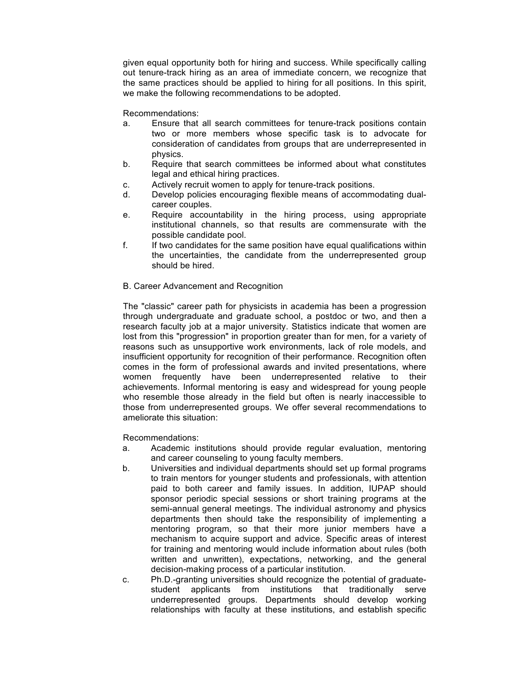given equal opportunity both for hiring and success. While specifically calling out tenure-track hiring as an area of immediate concern, we recognize that the same practices should be applied to hiring for all positions. In this spirit, we make the following recommendations to be adopted.

Recommendations:

- a. Ensure that all search committees for tenure-track positions contain two or more members whose specific task is to advocate for consideration of candidates from groups that are underrepresented in physics.
- b. Require that search committees be informed about what constitutes legal and ethical hiring practices.
- c. Actively recruit women to apply for tenure-track positions.
- d. Develop policies encouraging flexible means of accommodating dualcareer couples.
- e. Require accountability in the hiring process, using appropriate institutional channels, so that results are commensurate with the possible candidate pool.
- f. If two candidates for the same position have equal qualifications within the uncertainties, the candidate from the underrepresented group should be hired.

#### B. Career Advancement and Recognition

The "classic" career path for physicists in academia has been a progression through undergraduate and graduate school, a postdoc or two, and then a research faculty job at a major university. Statistics indicate that women are lost from this "progression" in proportion greater than for men, for a variety of reasons such as unsupportive work environments, lack of role models, and insufficient opportunity for recognition of their performance. Recognition often comes in the form of professional awards and invited presentations, where women frequently have been underrepresented relative to their achievements. Informal mentoring is easy and widespread for young people who resemble those already in the field but often is nearly inaccessible to those from underrepresented groups. We offer several recommendations to ameliorate this situation:

Recommendations:

- a. Academic institutions should provide regular evaluation, mentoring and career counseling to young faculty members.
- b. Universities and individual departments should set up formal programs to train mentors for younger students and professionals, with attention paid to both career and family issues. In addition, IUPAP should sponsor periodic special sessions or short training programs at the semi-annual general meetings. The individual astronomy and physics departments then should take the responsibility of implementing a mentoring program, so that their more junior members have a mechanism to acquire support and advice. Specific areas of interest for training and mentoring would include information about rules (both written and unwritten), expectations, networking, and the general decision-making process of a particular institution.
- c. Ph.D.-granting universities should recognize the potential of graduatestudent applicants from institutions that traditionally serve underrepresented groups. Departments should develop working relationships with faculty at these institutions, and establish specific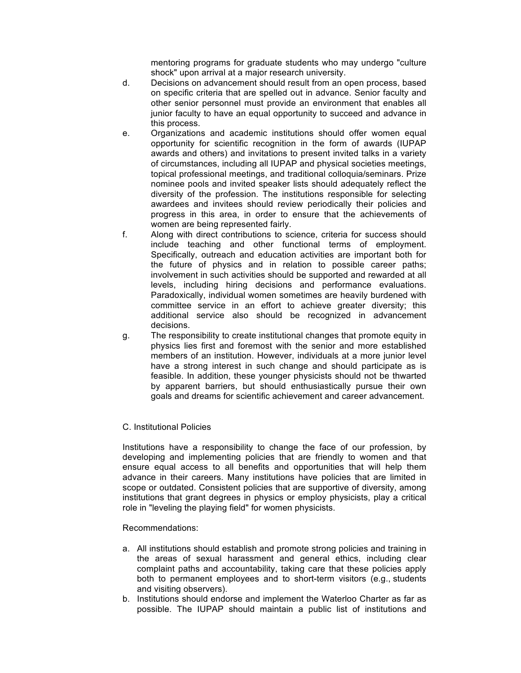mentoring programs for graduate students who may undergo "culture shock" upon arrival at a major research university.

- d. Decisions on advancement should result from an open process, based on specific criteria that are spelled out in advance. Senior faculty and other senior personnel must provide an environment that enables all junior faculty to have an equal opportunity to succeed and advance in this process.
- e. Organizations and academic institutions should offer women equal opportunity for scientific recognition in the form of awards (IUPAP awards and others) and invitations to present invited talks in a variety of circumstances, including all IUPAP and physical societies meetings, topical professional meetings, and traditional colloquia/seminars. Prize nominee pools and invited speaker lists should adequately reflect the diversity of the profession. The institutions responsible for selecting awardees and invitees should review periodically their policies and progress in this area, in order to ensure that the achievements of women are being represented fairly.
- f. Along with direct contributions to science, criteria for success should include teaching and other functional terms of employment. Specifically, outreach and education activities are important both for the future of physics and in relation to possible career paths; involvement in such activities should be supported and rewarded at all levels, including hiring decisions and performance evaluations. Paradoxically, individual women sometimes are heavily burdened with committee service in an effort to achieve greater diversity; this additional service also should be recognized in advancement decisions.
- g. The responsibility to create institutional changes that promote equity in physics lies first and foremost with the senior and more established members of an institution. However, individuals at a more junior level have a strong interest in such change and should participate as is feasible. In addition, these younger physicists should not be thwarted by apparent barriers, but should enthusiastically pursue their own goals and dreams for scientific achievement and career advancement.

#### C. Institutional Policies

Institutions have a responsibility to change the face of our profession, by developing and implementing policies that are friendly to women and that ensure equal access to all benefits and opportunities that will help them advance in their careers. Many institutions have policies that are limited in scope or outdated. Consistent policies that are supportive of diversity, among institutions that grant degrees in physics or employ physicists, play a critical role in "leveling the playing field" for women physicists.

#### Recommendations:

- a. All institutions should establish and promote strong policies and training in the areas of sexual harassment and general ethics, including clear complaint paths and accountability, taking care that these policies apply both to permanent employees and to short-term visitors (e.g., students and visiting observers).
- b. Institutions should endorse and implement the Waterloo Charter as far as possible. The IUPAP should maintain a public list of institutions and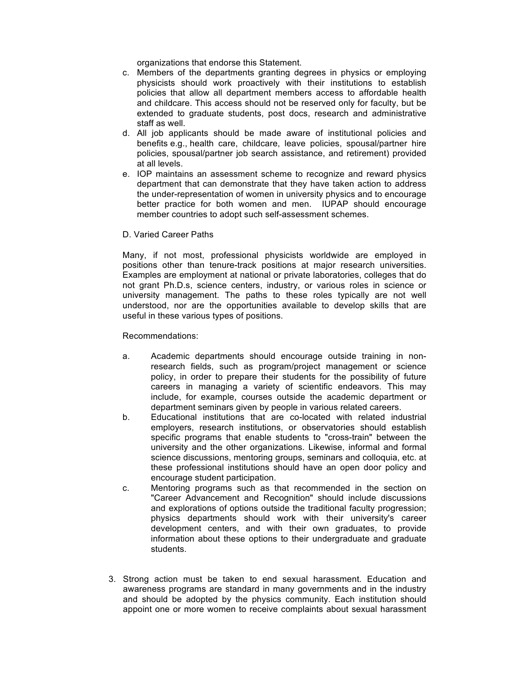organizations that endorse this Statement.

- c. Members of the departments granting degrees in physics or employing physicists should work proactively with their institutions to establish policies that allow all department members access to affordable health and childcare. This access should not be reserved only for faculty, but be extended to graduate students, post docs, research and administrative staff as well.
- d. All job applicants should be made aware of institutional policies and benefits e.g., health care, childcare, leave policies, spousal/partner hire policies, spousal/partner job search assistance, and retirement) provided at all levels.
- e. IOP maintains an assessment scheme to recognize and reward physics department that can demonstrate that they have taken action to address the under-representation of women in university physics and to encourage better practice for both women and men. IUPAP should encourage member countries to adopt such self-assessment schemes.

#### D. Varied Career Paths

Many, if not most, professional physicists worldwide are employed in positions other than tenure-track positions at major research universities. Examples are employment at national or private laboratories, colleges that do not grant Ph.D.s, science centers, industry, or various roles in science or university management. The paths to these roles typically are not well understood, nor are the opportunities available to develop skills that are useful in these various types of positions.

Recommendations:

- a. Academic departments should encourage outside training in nonresearch fields, such as program/project management or science policy, in order to prepare their students for the possibility of future careers in managing a variety of scientific endeavors. This may include, for example, courses outside the academic department or department seminars given by people in various related careers.
- b. Educational institutions that are co-located with related industrial employers, research institutions, or observatories should establish specific programs that enable students to "cross-train" between the university and the other organizations. Likewise, informal and formal science discussions, mentoring groups, seminars and colloquia, etc. at these professional institutions should have an open door policy and encourage student participation.
- c. Mentoring programs such as that recommended in the section on "Career Advancement and Recognition" should include discussions and explorations of options outside the traditional faculty progression; physics departments should work with their university's career development centers, and with their own graduates, to provide information about these options to their undergraduate and graduate students.
- 3. Strong action must be taken to end sexual harassment. Education and awareness programs are standard in many governments and in the industry and should be adopted by the physics community. Each institution should appoint one or more women to receive complaints about sexual harassment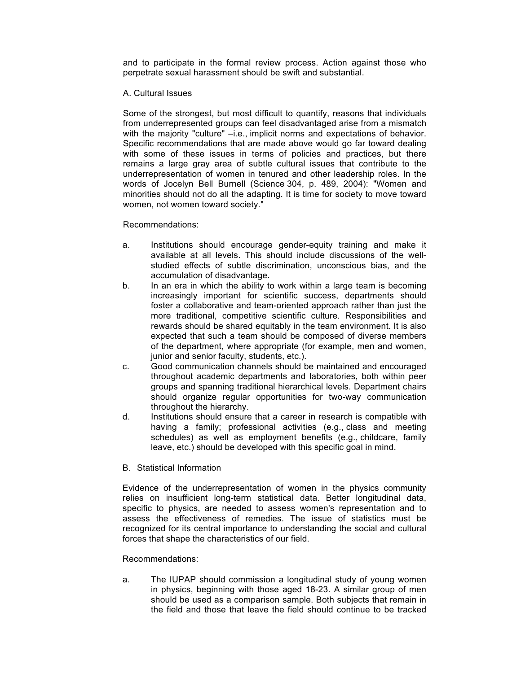and to participate in the formal review process. Action against those who perpetrate sexual harassment should be swift and substantial.

#### A. Cultural Issues

Some of the strongest, but most difficult to quantify, reasons that individuals from underrepresented groups can feel disadvantaged arise from a mismatch with the majority "culture" –i.e., implicit norms and expectations of behavior. Specific recommendations that are made above would go far toward dealing with some of these issues in terms of policies and practices, but there remains a large gray area of subtle cultural issues that contribute to the underrepresentation of women in tenured and other leadership roles. In the words of Jocelyn Bell Burnell (Science 304, p. 489, 2004): "Women and minorities should not do all the adapting. It is time for society to move toward women, not women toward society."

#### Recommendations:

- a. Institutions should encourage gender-equity training and make it available at all levels. This should include discussions of the wellstudied effects of subtle discrimination, unconscious bias, and the accumulation of disadvantage.
- b. In an era in which the ability to work within a large team is becoming increasingly important for scientific success, departments should foster a collaborative and team-oriented approach rather than just the more traditional, competitive scientific culture. Responsibilities and rewards should be shared equitably in the team environment. It is also expected that such a team should be composed of diverse members of the department, where appropriate (for example, men and women, junior and senior faculty, students, etc.).
- c. Good communication channels should be maintained and encouraged throughout academic departments and laboratories, both within peer groups and spanning traditional hierarchical levels. Department chairs should organize regular opportunities for two-way communication throughout the hierarchy.
- d. Institutions should ensure that a career in research is compatible with having a family; professional activities (e.g., class and meeting schedules) as well as employment benefits (e.g., childcare, family leave, etc.) should be developed with this specific goal in mind.
- B. Statistical Information

Evidence of the underrepresentation of women in the physics community relies on insufficient long-term statistical data. Better longitudinal data, specific to physics, are needed to assess women's representation and to assess the effectiveness of remedies. The issue of statistics must be recognized for its central importance to understanding the social and cultural forces that shape the characteristics of our field.

#### Recommendations:

a. The IUPAP should commission a longitudinal study of young women in physics, beginning with those aged 18-23. A similar group of men should be used as a comparison sample. Both subjects that remain in the field and those that leave the field should continue to be tracked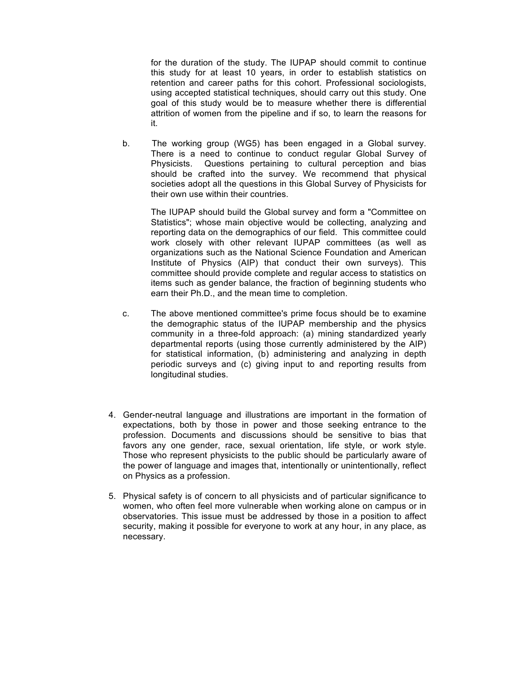for the duration of the study. The IUPAP should commit to continue this study for at least 10 years, in order to establish statistics on retention and career paths for this cohort. Professional sociologists, using accepted statistical techniques, should carry out this study. One goal of this study would be to measure whether there is differential attrition of women from the pipeline and if so, to learn the reasons for it.

b. The working group (WG5) has been engaged in a Global survey. There is a need to continue to conduct regular Global Survey of Physicists. Questions pertaining to cultural perception and bias should be crafted into the survey. We recommend that physical societies adopt all the questions in this Global Survey of Physicists for their own use within their countries.

The IUPAP should build the Global survey and form a "Committee on Statistics"; whose main objective would be collecting, analyzing and reporting data on the demographics of our field. This committee could work closely with other relevant IUPAP committees (as well as organizations such as the National Science Foundation and American Institute of Physics (AIP) that conduct their own surveys). This committee should provide complete and regular access to statistics on items such as gender balance, the fraction of beginning students who earn their Ph.D., and the mean time to completion.

- c. The above mentioned committee's prime focus should be to examine the demographic status of the IUPAP membership and the physics community in a three-fold approach: (a) mining standardized yearly departmental reports (using those currently administered by the AIP) for statistical information, (b) administering and analyzing in depth periodic surveys and (c) giving input to and reporting results from longitudinal studies.
- 4. Gender-neutral language and illustrations are important in the formation of expectations, both by those in power and those seeking entrance to the profession. Documents and discussions should be sensitive to bias that favors any one gender, race, sexual orientation, life style, or work style. Those who represent physicists to the public should be particularly aware of the power of language and images that, intentionally or unintentionally, reflect on Physics as a profession.
- 5. Physical safety is of concern to all physicists and of particular significance to women, who often feel more vulnerable when working alone on campus or in observatories. This issue must be addressed by those in a position to affect security, making it possible for everyone to work at any hour, in any place, as necessary.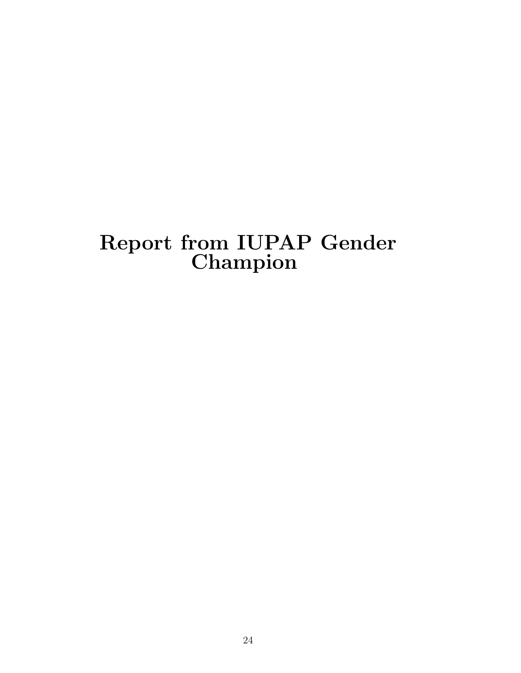## Report from IUPAP Gender Champion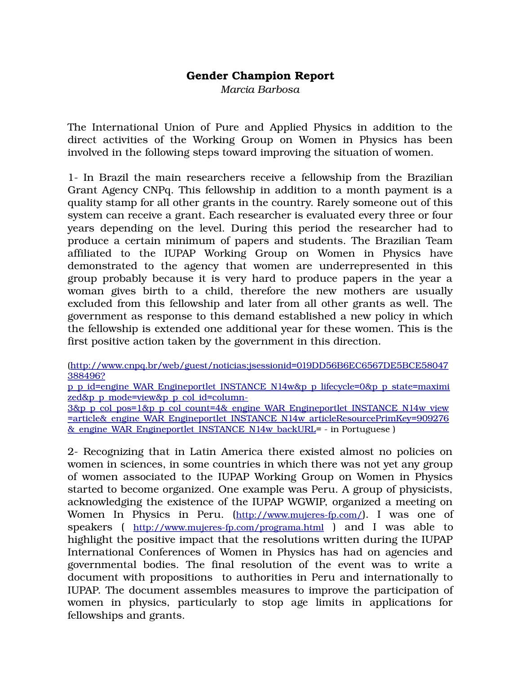#### **Gender Champion Report**

*Marcia Barbosa*

The International Union of Pure and Applied Physics in addition to the direct activities of the Working Group on Women in Physics has been involved in the following steps toward improving the situation of women.

1 In Brazil the main researchers receive a fellowship from the Brazilian Grant Agency CNPq. This fellowship in addition to a month payment is a quality stamp for all other grants in the country. Rarely someone out of this system can receive a grant. Each researcher is evaluated every three or four years depending on the level. During this period the researcher had to produce a certain minimum of papers and students. The Brazilian Team affiliated to the IUPAP Working Group on Women in Physics have demonstrated to the agency that women are underrepresented in this group probably because it is very hard to produce papers in the year a woman gives birth to a child, therefore the new mothers are usually excluded from this fellowship and later from all other grants as well. The government as response to this demand established a new policy in which the fellowship is extended one additional year for these women. This is the first positive action taken by the government in this direction.

(http://www.cnpq.br/web/guest/noticias;jsessionid=019DD56B6EC6567DE5BCE58047 388496?

p\_p\_id=engine\_WAR\_Engineportlet\_INSTANCE\_N14w&p\_p\_lifecycle=0&p\_p\_state=maximi zed&p\_p\_mode=view&p\_p\_col\_id=column-

3&p\_p\_col\_pos=1&p\_p\_col\_count=4&\_engine\_WAR\_Engineportlet\_INSTANCE\_N14w\_view =article&\_engine\_WAR\_Engineportlet\_INSTANCE\_N14w\_articleResourcePrimKey=909276 <u>& engine WAR Engineportlet INSTANCE N14w backURL</u>= - in Portuguese )

2 Recognizing that in Latin America there existed almost no policies on women in sciences, in some countries in which there was not yet any group of women associated to the IUPAP Working Group on Women in Physics started to become organized. One example was Peru. A group of physicists, acknowledging the existence of the IUPAP WGWIP, organized a meeting on Women In Physics in Peru. (http://www.mujeres-fp.com/). I was one of speakers ( http://www.mujeres-fp.com/programa.html ) and I was able to highlight the positive impact that the resolutions written during the IUPAP International Conferences of Women in Physics has had on agencies and governmental bodies. The final resolution of the event was to write a document with propositions to authorities in Peru and internationally to IUPAP. The document assembles measures to improve the participation of women in physics, particularly to stop age limits in applications for fellowships and grants.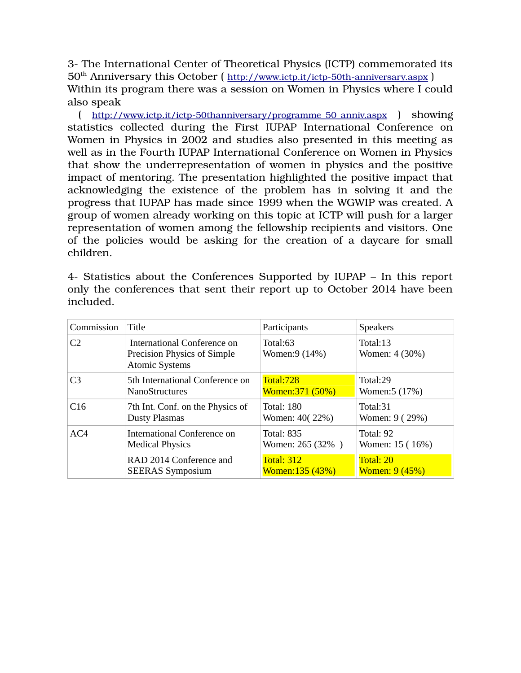3 The International Center of Theoretical Physics (ICTP) commemorated its 50<sup>th</sup> Anniversary this October ( http://www.ictp.it/ictp-50th-anniversary.aspx ) Within its program there was a session on Women in Physics where I could also speak

( http://www.ictp.it/ictp-50thanniversary/programme\_50\_anniv.aspx ) showing statistics collected during the First IUPAP International Conference on Women in Physics in 2002 and studies also presented in this meeting as well as in the Fourth IUPAP International Conference on Women in Physics that show the underrepresentation of women in physics and the positive impact of mentoring. The presentation highlighted the positive impact that acknowledging the existence of the problem has in solving it and the progress that IUPAP has made since 1999 when the WGWIP was created. A group of women already working on this topic at ICTP will push for a larger representation of women among the fellowship recipients and visitors. One of the policies would be asking for the creation of a daycare for small children.

| Commission     | Title                                                                               | Participants               | <b>Speakers</b>            |
|----------------|-------------------------------------------------------------------------------------|----------------------------|----------------------------|
| C <sub>2</sub> | International Conference on<br>Precision Physics of Simple<br><b>Atomic Systems</b> | Total:63<br>Women: 9 (14%) | Total:13<br>Women: 4 (30%) |
| C3             | 5th International Conference on                                                     | Total:728                  | Total:29                   |
|                | <b>NanoStructures</b>                                                               | Women:371 (50%)            | Women:5 (17%)              |
| C16            | 7th Int. Conf. on the Physics of                                                    | <b>Total: 180</b>          | Total:31                   |
|                | <b>Dusty Plasmas</b>                                                                | Women: 40(22%)             | Women: 9 (29%)             |
| AC4            | International Conference on                                                         | <b>Total: 835</b>          | Total: 92                  |
|                | <b>Medical Physics</b>                                                              | Women: 265 (32%)           | Women: 15 (16%)            |
|                | RAD 2014 Conference and                                                             | <b>Total: 312</b>          | Total: 20                  |
|                | <b>SEERAS Symposium</b>                                                             | Women: 135 (43%)           | <b>Women: 9 (45%)</b>      |

4 Statistics about the Conferences Supported by IUPAP – In this report only the conferences that sent their report up to October 2014 have been included.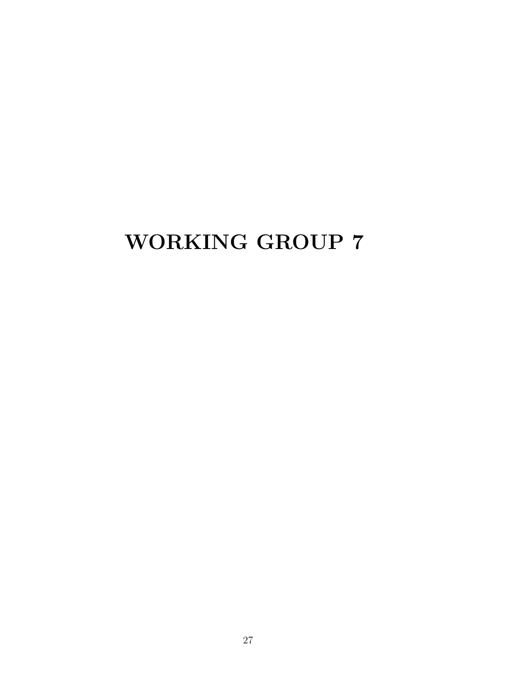## WORKING GROUP 7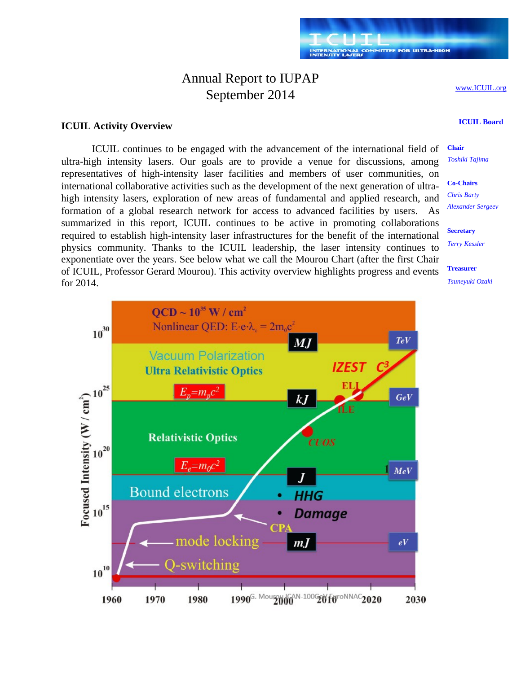### Annual Report to IUPAP September 2014

www.ICUIL.org

#### **ICUIL Activity Overview**

ICUIL continues to be engaged with the advancement of the international field of ultra-high intensity lasers. Our goals are to provide a venue for discussions, among representatives of high-intensity laser facilities and members of user communities, on international collaborative activities such as the development of the next generation of ultrahigh intensity lasers, exploration of new areas of fundamental and applied research, and formation of a global research network for access to advanced facilities by users. As summarized in this report, ICUIL continues to be active in promoting collaborations required to establish high-intensity laser infrastructures for the benefit of the international physics community. Thanks to the ICUIL leadership, the laser intensity continues to exponentiate over the years. See below what we call the Mourou Chart (after the first Chair of ICUIL, Professor Gerard Mourou). This activity overview highlights progress and events for 2014.

### **ICUIL Board**

**Chair** *Toshiki Tajima*

**Co-Chairs** *Chris Barty Alexander Sergeev*

**Secretary** *Terry Kessler*

**Treasurer** *Tsuneyuki Ozaki*

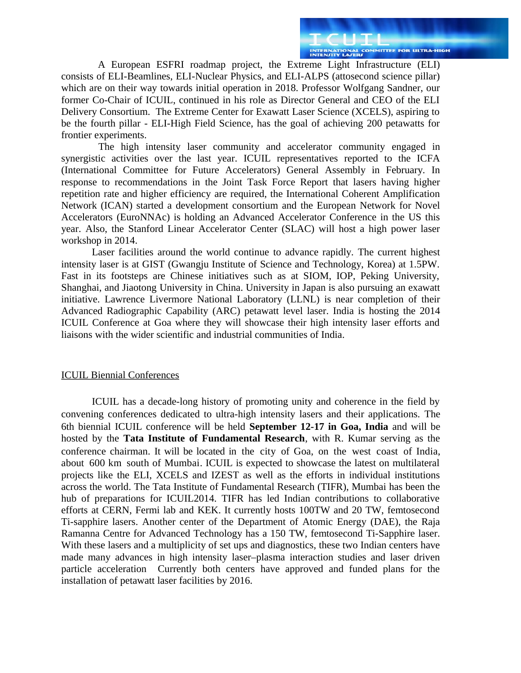A European ESFRI roadmap project, the Extreme Light Infrastructure (ELI) consists of ELI-Beamlines, ELI-Nuclear Physics, and ELI-ALPS (attosecond science pillar) which are on their way towards initial operation in 2018. Professor Wolfgang Sandner, our former Co-Chair of ICUIL, continued in his role as Director General and CEO of the ELI Delivery Consortium. The Extreme Center for Exawatt Laser Science (XCELS), aspiring to be the fourth pillar - ELI-High Field Science, has the goal of achieving 200 petawatts for frontier experiments.

The high intensity laser community and accelerator community engaged in synergistic activities over the last year. ICUIL representatives reported to the ICFA (International Committee for Future Accelerators) General Assembly in February. In response to recommendations in the Joint Task Force Report that lasers having higher repetition rate and higher efficiency are required, the International Coherent Amplification Network (ICAN) started a development consortium and the European Network for Novel Accelerators (EuroNNAc) is holding an Advanced Accelerator Conference in the US this year. Also, the Stanford Linear Accelerator Center (SLAC) will host a high power laser workshop in 2014.

Laser facilities around the world continue to advance rapidly. The current highest intensity laser is at GIST (Gwangju Institute of Science and Technology, Korea) at 1.5PW. Fast in its footsteps are Chinese initiatives such as at SIOM, IOP, Peking University, Shanghai, and Jiaotong University in China. University in Japan is also pursuing an exawatt initiative. Lawrence Livermore National Laboratory (LLNL) is near completion of their Advanced Radiographic Capability (ARC) petawatt level laser. India is hosting the 2014 ICUIL Conference at Goa where they will showcase their high intensity laser efforts and liaisons with the wider scientific and industrial communities of India.

#### ICUIL Biennial Conferences

ICUIL has a decade-long history of promoting unity and coherence in the field by convening conferences dedicated to ultra-high intensity lasers and their applications. The 6th biennial ICUIL conference will be held **September 12-17 in Goa, India** and will be hosted by the **Tata Institute of Fundamental Research**, with R. Kumar serving as the conference chairman. It will be located in the city of Goa, on the west coast of India, about 600 km south of Mumbai. ICUIL is expected to showcase the latest on multilateral projects like the ELI, XCELS and IZEST as well as the efforts in individual institutions across the world. The Tata Institute of Fundamental Research (TIFR), Mumbai has been the hub of preparations for ICUIL2014. TIFR has led Indian contributions to collaborative efforts at CERN, Fermi lab and KEK. It currently hosts 100TW and 20 TW, femtosecond Ti-sapphire lasers. Another center of the Department of Atomic Energy (DAE), the Raja Ramanna Centre for Advanced Technology has a 150 TW, femtosecond Ti-Sapphire laser. With these lasers and a multiplicity of set ups and diagnostics, these two Indian centers have made many advances in high intensity laser–plasma interaction studies and laser driven particle acceleration Currently both centers have approved and funded plans for the installation of petawatt laser facilities by 2016.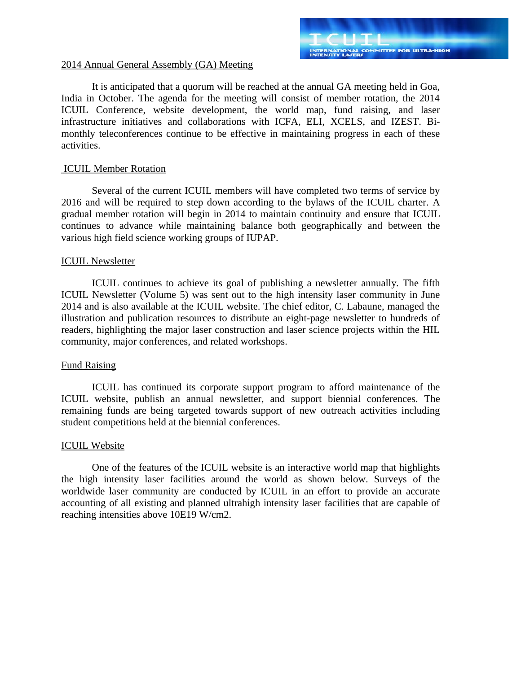#### 2014 Annual General Assembly (GA) Meeting

It is anticipated that a quorum will be reached at the annual GA meeting held in Goa, India in October. The agenda for the meeting will consist of member rotation, the 2014 ICUIL Conference, website development, the world map, fund raising, and laser infrastructure initiatives and collaborations with ICFA, ELI, XCELS, and IZEST. Bimonthly teleconferences continue to be effective in maintaining progress in each of these activities.

#### ICUIL Member Rotation

Several of the current ICUIL members will have completed two terms of service by 2016 and will be required to step down according to the bylaws of the ICUIL charter. A gradual member rotation will begin in 2014 to maintain continuity and ensure that ICUIL continues to advance while maintaining balance both geographically and between the various high field science working groups of IUPAP.

#### ICUIL Newsletter

ICUIL continues to achieve its goal of publishing a newsletter annually. The fifth ICUIL Newsletter (Volume 5) was sent out to the high intensity laser community in June 2014 and is also available at the ICUIL website. The chief editor, C. Labaune, managed the illustration and publication resources to distribute an eight-page newsletter to hundreds of readers, highlighting the major laser construction and laser science projects within the HIL community, major conferences, and related workshops.

#### Fund Raising

ICUIL has continued its corporate support program to afford maintenance of the ICUIL website, publish an annual newsletter, and support biennial conferences. The remaining funds are being targeted towards support of new outreach activities including student competitions held at the biennial conferences.

#### ICUIL Website

One of the features of the ICUIL website is an interactive world map that highlights the high intensity laser facilities around the world as shown below. Surveys of the worldwide laser community are conducted by ICUIL in an effort to provide an accurate accounting of all existing and planned ultrahigh intensity laser facilities that are capable of reaching intensities above 10E19 W/cm2.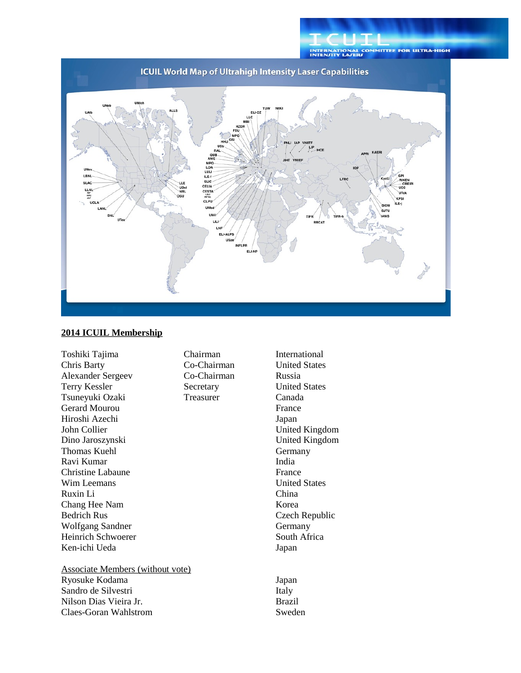

#### **2014 ICUIL Membership**

Toshiki Tajima Chairman International Chris Barty Co-Chairman Alexander Sergeev Co-Chairman Russia Terry Kessler Secretary **Secretary** United States Tsuneyuki Ozaki Treasurer Canada Gerard Mourou **France** Hiroshi Azechi Japan John Collier **United Kingdom** Dino Jaroszynski United Kingdom Thomas Kuehl Germany Ravi Kumar **India** Christine Labaune France Wim Leemans **Wim Leemans Wim Leemans United States** Ruxin Li China Chang Hee Nam Korea Bedrich Rus Czech Republic Wolfgang Sandner Germany Heinrich Schwoerer South Africa Ken-ichi Ueda **Japan** 

Associate Members (without vote) Ryosuke Kodama **Japan** Japan Sandro de Silvestri **Italy** Nilson Dias Vieira Jr. **Brazil** Claes-Goran Wahlstrom Sweden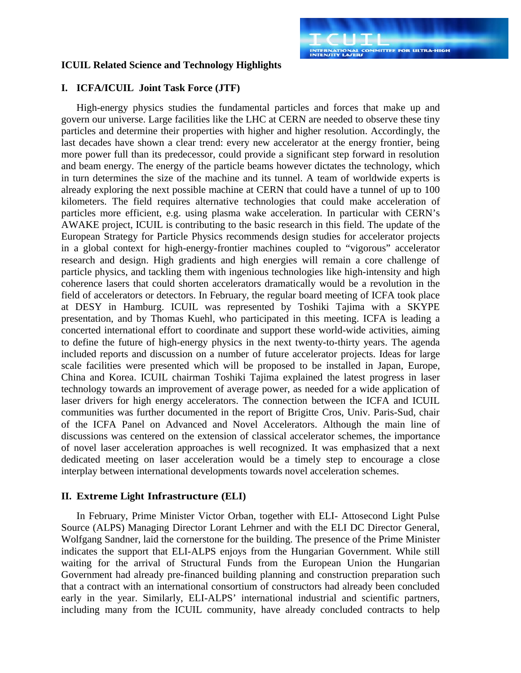#### **ICUIL Related Science and Technology Highlights**

#### **I. ICFA/ICUIL Joint Task Force (JTF)**

High-energy physics studies the fundamental particles and forces that make up and govern our universe. Large facilities like the LHC at CERN are needed to observe these tiny particles and determine their properties with higher and higher resolution. Accordingly, the last decades have shown a clear trend: every new accelerator at the energy frontier, being more power full than its predecessor, could provide a significant step forward in resolution and beam energy. The energy of the particle beams however dictates the technology, which in turn determines the size of the machine and its tunnel. A team of worldwide experts is already exploring the next possible machine at CERN that could have a tunnel of up to 100 kilometers. The field requires alternative technologies that could make acceleration of particles more efficient, e.g. using plasma wake acceleration. In particular with CERN's AWAKE project, ICUIL is contributing to the basic research in this field. The update of the European Strategy for Particle Physics recommends design studies for accelerator projects in a global context for high-energy-frontier machines coupled to "vigorous" accelerator research and design. High gradients and high energies will remain a core challenge of particle physics, and tackling them with ingenious technologies like high-intensity and high coherence lasers that could shorten accelerators dramatically would be a revolution in the field of accelerators or detectors. In February, the regular board meeting of ICFA took place at DESY in Hamburg. ICUIL was represented by Toshiki Tajima with a SKYPE presentation, and by Thomas Kuehl, who participated in this meeting. ICFA is leading a concerted international effort to coordinate and support these world-wide activities, aiming to define the future of high-energy physics in the next twenty-to-thirty years. The agenda included reports and discussion on a number of future accelerator projects. Ideas for large scale facilities were presented which will be proposed to be installed in Japan, Europe, China and Korea. ICUIL chairman Toshiki Tajima explained the latest progress in laser technology towards an improvement of average power, as needed for a wide application of laser drivers for high energy accelerators. The connection between the ICFA and ICUIL communities was further documented in the report of Brigitte Cros, Univ. Paris-Sud, chair of the ICFA Panel on Advanced and Novel Accelerators. Although the main line of discussions was centered on the extension of classical accelerator schemes, the importance of novel laser acceleration approaches is well recognized. It was emphasized that a next dedicated meeting on laser acceleration would be a timely step to encourage a close interplay between international developments towards novel acceleration schemes.

#### **II. Extreme Light Infrastructure (ELI)**

In February, Prime Minister Victor Orban, together with ELI- Attosecond Light Pulse Source (ALPS) Managing Director Lorant Lehrner and with the ELI DC Director General, Wolfgang Sandner, laid the cornerstone for the building. The presence of the Prime Minister indicates the support that ELI-ALPS enjoys from the Hungarian Government. While still waiting for the arrival of Structural Funds from the European Union the Hungarian Government had already pre-financed building planning and construction preparation such that a contract with an international consortium of constructors had already been concluded early in the year. Similarly, ELI-ALPS' international industrial and scientific partners, including many from the ICUIL community, have already concluded contracts to help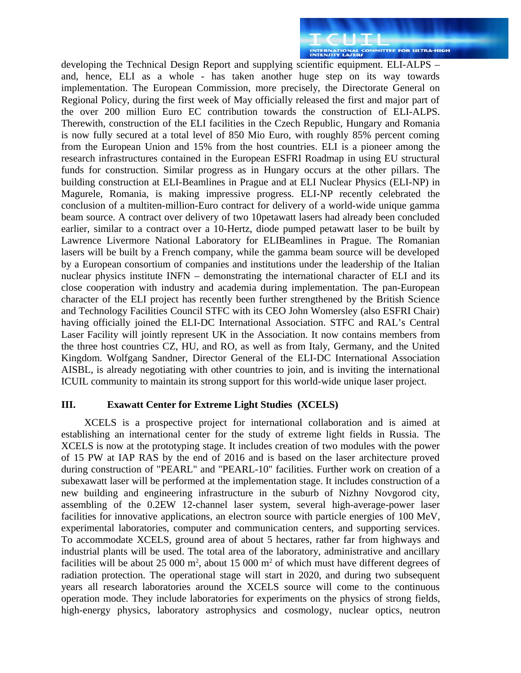developing the Technical Design Report and supplying scientific equipment. ELI-ALPS – and, hence, ELI as a whole - has taken another huge step on its way towards implementation. The European Commission, more precisely, the Directorate General on Regional Policy, during the first week of May officially released the first and major part of the over 200 million Euro EC contribution towards the construction of ELI-ALPS. Therewith, construction of the ELI facilities in the Czech Republic, Hungary and Romania is now fully secured at a total level of 850 Mio Euro, with roughly 85% percent coming from the European Union and 15% from the host countries. ELI is a pioneer among the research infrastructures contained in the European ESFRI Roadmap in using EU structural funds for construction. Similar progress as in Hungary occurs at the other pillars. The building construction at ELI-Beamlines in Prague and at ELI Nuclear Physics (ELI-NP) in Magurele, Romania, is making impressive progress. ELI-NP recently celebrated the conclusion of a multiten-million-Euro contract for delivery of a world-wide unique gamma beam source. A contract over delivery of two 10petawatt lasers had already been concluded earlier, similar to a contract over a 10-Hertz, diode pumped petawatt laser to be built by Lawrence Livermore National Laboratory for ELIBeamlines in Prague. The Romanian lasers will be built by a French company, while the gamma beam source will be developed by a European consortium of companies and institutions under the leadership of the Italian nuclear physics institute INFN – demonstrating the international character of ELI and its close cooperation with industry and academia during implementation. The pan-European character of the ELI project has recently been further strengthened by the British Science and Technology Facilities Council STFC with its CEO John Womersley (also ESFRI Chair) having officially joined the ELI-DC International Association. STFC and RAL's Central Laser Facility will jointly represent UK in the Association. It now contains members from the three host countries CZ, HU, and RO, as well as from Italy, Germany, and the United Kingdom. Wolfgang Sandner, Director General of the ELI-DC International Association AISBL, is already negotiating with other countries to join, and is inviting the international ICUIL community to maintain its strong support for this world-wide unique laser project.

#### **III. Exawatt Center for Extreme Light Studies (XCELS)**

XCELS is a prospective project for international collaboration and is aimed at establishing an international center for the study of extreme light fields in Russia. The XCELS is now at the prototyping stage. It includes creation of two modules with the power of 15 PW at IAP RAS by the end of 2016 and is based on the laser architecture proved during construction of "PEARL" and "PEARL-10" facilities. Further work on creation of a subexawatt laser will be performed at the implementation stage. It includes construction of a new building and engineering infrastructure in the suburb of Nizhny Novgorod city, assembling of the 0.2EW 12-channel laser system, several high-average-power laser facilities for innovative applications, an electron source with particle energies of 100 MeV, experimental laboratories, computer and communication centers, and supporting services. To accommodate XCELS, ground area of about 5 hectares, rather far from highways and industrial plants will be used. The total area of the laboratory, administrative and ancillary facilities will be about 25 000  $m^2$ , about 15 000  $m^2$  of which must have different degrees of radiation protection. The operational stage will start in 2020, and during two subsequent years all research laboratories around the XCELS source will come to the continuous operation mode. They include laboratories for experiments on the physics of strong fields, high-energy physics, laboratory astrophysics and cosmology, nuclear optics, neutron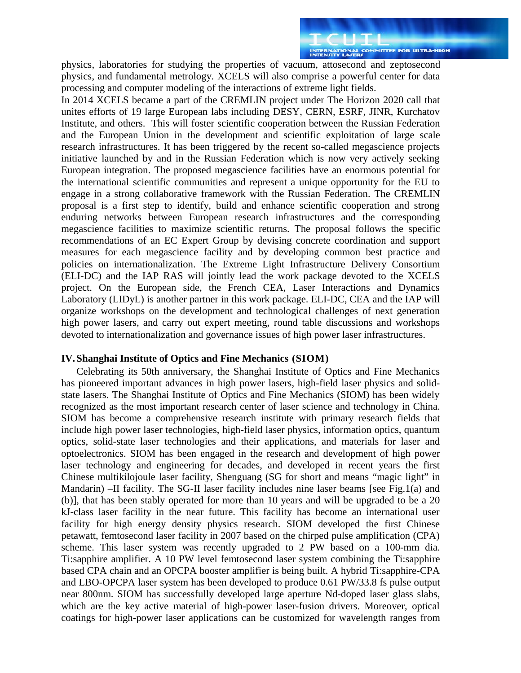physics, laboratories for studying the properties of vacuum, attosecond and zeptosecond physics, and fundamental metrology. XCELS will also comprise a powerful center for data processing and computer modeling of the interactions of extreme light fields.

In 2014 XCELS became a part of the CREMLIN project under The Horizon 2020 call that unites efforts of 19 large European labs including DESY, CERN, ESRF, JINR, Kurchatov Institute, and others. This will foster scientific cooperation between the Russian Federation and the European Union in the development and scientific exploitation of large scale research infrastructures. It has been triggered by the recent so-called megascience projects initiative launched by and in the Russian Federation which is now very actively seeking European integration. The proposed megascience facilities have an enormous potential for the international scientific communities and represent a unique opportunity for the EU to engage in a strong collaborative framework with the Russian Federation. The CREMLIN proposal is a first step to identify, build and enhance scientific cooperation and strong enduring networks between European research infrastructures and the corresponding megascience facilities to maximize scientific returns. The proposal follows the specific recommendations of an EC Expert Group by devising concrete coordination and support measures for each megascience facility and by developing common best practice and policies on internationalization. The Extreme Light Infrastructure Delivery Consortium (ELI-DC) and the IAP RAS will jointly lead the work package devoted to the XCELS project. On the European side, the French CEA, Laser Interactions and Dynamics Laboratory (LIDyL) is another partner in this work package. ELI-DC, CEA and the IAP will organize workshops on the development and technological challenges of next generation high power lasers, and carry out expert meeting, round table discussions and workshops devoted to internationalization and governance issues of high power laser infrastructures.

#### **IV. Shanghai Institute of Optics and Fine Mechanics (SIOM)**

Celebrating its 50th anniversary, the Shanghai Institute of Optics and Fine Mechanics has pioneered important advances in high power lasers, high-field laser physics and solidstate lasers. The Shanghai Institute of Optics and Fine Mechanics (SIOM) has been widely recognized as the most important research center of laser science and technology in China. SIOM has become a comprehensive research institute with primary research fields that include high power laser technologies, high-field laser physics, information optics, quantum optics, solid-state laser technologies and their applications, and materials for laser and optoelectronics. SIOM has been engaged in the research and development of high power laser technology and engineering for decades, and developed in recent years the first Chinese multikilojoule laser facility, Shenguang (SG for short and means "magic light" in Mandarin) –II facility. The SG-II laser facility includes nine laser beams [see Fig.1(a) and (b)], that has been stably operated for more than 10 years and will be upgraded to be a 20 kJ-class laser facility in the near future. This facility has become an international user facility for high energy density physics research. SIOM developed the first Chinese petawatt, femtosecond laser facility in 2007 based on the chirped pulse amplification (CPA) scheme. This laser system was recently upgraded to 2 PW based on a 100-mm dia. Ti:sapphire amplifier. A 10 PW level femtosecond laser system combining the Ti:sapphire based CPA chain and an OPCPA booster amplifier is being built. A hybrid Ti:sapphire-CPA and LBO-OPCPA laser system has been developed to produce 0.61 PW/33.8 fs pulse output near 800nm. SIOM has successfully developed large aperture Nd-doped laser glass slabs, which are the key active material of high-power laser-fusion drivers. Moreover, optical coatings for high-power laser applications can be customized for wavelength ranges from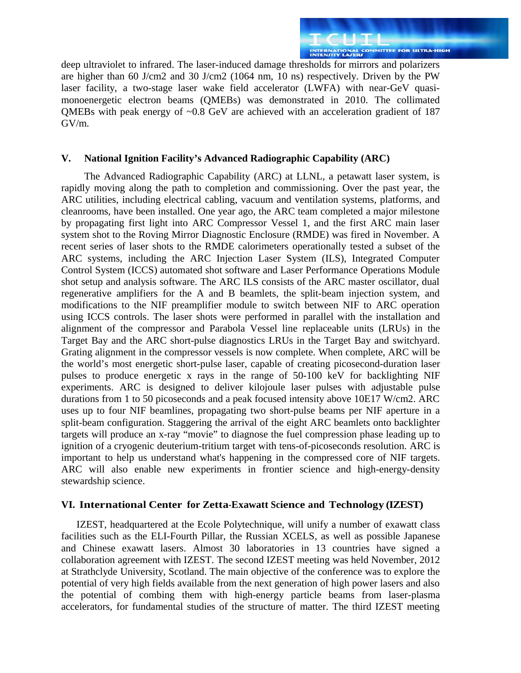INTERNATIONAL COMMITTEE FOR ULTRA-HIGH deep ultraviolet to infrared. The laser-induced damage thresholds for mirrors and polarizers are higher than 60 J/cm2 and 30 J/cm2 (1064 nm, 10 ns) respectively. Driven by the PW laser facility, a two-stage laser wake field accelerator (LWFA) with near-GeV quasimonoenergetic electron beams (QMEBs) was demonstrated in 2010. The collimated QMEBs with peak energy of  $\sim 0.8$  GeV are achieved with an acceleration gradient of 187 GV/m.

#### **V. National Ignition Facility's Advanced Radiographic Capability (ARC)**

The Advanced Radiographic Capability (ARC) at LLNL, a petawatt laser system, is rapidly moving along the path to completion and commissioning. Over the past year, the ARC utilities, including electrical cabling, vacuum and ventilation systems, platforms, and cleanrooms, have been installed. One year ago, the ARC team completed a major milestone by propagating first light into ARC Compressor Vessel 1, and the first ARC main laser system shot to the Roving Mirror Diagnostic Enclosure (RMDE) was fired in November. A recent series of laser shots to the RMDE calorimeters operationally tested a subset of the ARC systems, including the ARC Injection Laser System (ILS), Integrated Computer Control System (ICCS) automated shot software and Laser Performance Operations Module shot setup and analysis software. The ARC ILS consists of the ARC master oscillator, dual regenerative amplifiers for the A and B beamlets, the split-beam injection system, and modifications to the NIF preamplifier module to switch between NIF to ARC operation using ICCS controls. The laser shots were performed in parallel with the installation and alignment of the compressor and Parabola Vessel line replaceable units (LRUs) in the Target Bay and the ARC short-pulse diagnostics LRUs in the Target Bay and switchyard. Grating alignment in the compressor vessels is now complete. When complete, ARC will be the world's most energetic short-pulse laser, capable of creating picosecond-duration laser pulses to produce energetic x rays in the range of 50-100 keV for backlighting NIF experiments. ARC is designed to deliver kilojoule laser pulses with adjustable pulse durations from 1 to 50 picoseconds and a peak focused intensity above 10E17 W/cm2. ARC uses up to four NIF beamlines, propagating two short-pulse beams per NIF aperture in a split-beam configuration. Staggering the arrival of the eight ARC beamlets onto backlighter targets will produce an x-ray "movie" to diagnose the fuel compression phase leading up to ignition of a cryogenic deuterium-tritium target with tens-of-picoseconds resolution. ARC is important to help us understand what's happening in the compressed core of NIF targets. ARC will also enable new experiments in frontier science and high-energy-density stewardship science.

#### **VI. International Center for Zetta-Exawatt Science and Technology (IZEST)**

IZEST, headquartered at the Ecole Polytechnique, will unify a number of exawatt class facilities such as the ELI-Fourth Pillar, the Russian XCELS, as well as possible Japanese and Chinese exawatt lasers. Almost 30 laboratories in 13 countries have signed a collaboration agreement with IZEST. The second IZEST meeting was held November, 2012 at Strathclyde University, Scotland. The main objective of the conference was to explore the potential of very high fields available from the next generation of high power lasers and also the potential of combing them with high-energy particle beams from laser-plasma accelerators, for fundamental studies of the structure of matter. The third IZEST meeting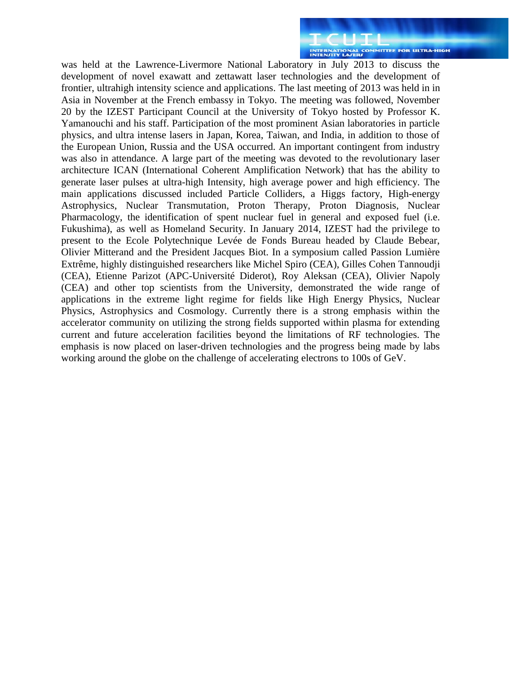was held at the Lawrence-Livermore National Laboratory in July 2013 to discuss the development of novel exawatt and zettawatt laser technologies and the development of frontier, ultrahigh intensity science and applications. The last meeting of 2013 was held in in Asia in November at the French embassy in Tokyo. The meeting was followed, November 20 by the IZEST Participant Council at the University of Tokyo hosted by Professor K. Yamanouchi and his staff. Participation of the most prominent Asian laboratories in particle physics, and ultra intense lasers in Japan, Korea, Taiwan, and India, in addition to those of the European Union, Russia and the USA occurred. An important contingent from industry was also in attendance. A large part of the meeting was devoted to the revolutionary laser architecture ICAN (International Coherent Amplification Network) that has the ability to generate laser pulses at ultra-high Intensity, high average power and high efficiency. The main applications discussed included Particle Colliders, a Higgs factory, High-energy Astrophysics, Nuclear Transmutation, Proton Therapy, Proton Diagnosis, Nuclear Pharmacology, the identification of spent nuclear fuel in general and exposed fuel (i.e. Fukushima), as well as Homeland Security. In January 2014, IZEST had the privilege to present to the Ecole Polytechnique Levée de Fonds Bureau headed by Claude Bebear, Olivier Mitterand and the President Jacques Biot. In a symposium called Passion Lumière Extrême, highly distinguished researchers like Michel Spiro (CEA), Gilles Cohen Tannoudji (CEA), Etienne Parizot (APC-Université Diderot), Roy Aleksan (CEA), Olivier Napoly (CEA) and other top scientists from the University, demonstrated the wide range of applications in the extreme light regime for fields like High Energy Physics, Nuclear Physics, Astrophysics and Cosmology. Currently there is a strong emphasis within the accelerator community on utilizing the strong fields supported within plasma for extending current and future acceleration facilities beyond the limitations of RF technologies. The emphasis is now placed on laser-driven technologies and the progress being made by labs working around the globe on the challenge of accelerating electrons to 100s of GeV.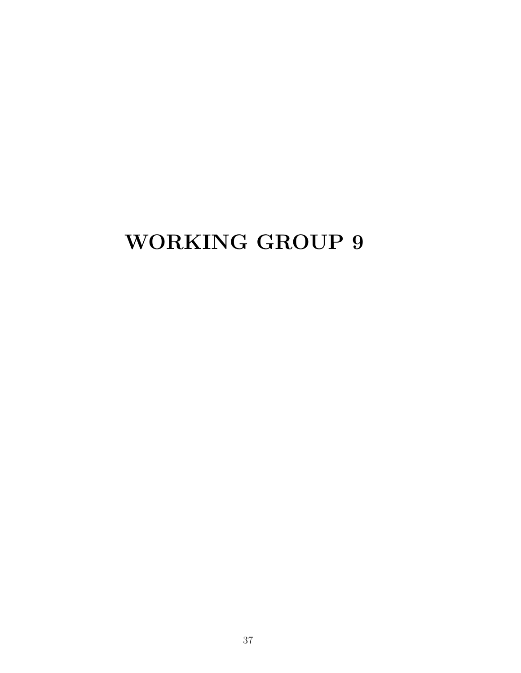## WORKING GROUP 9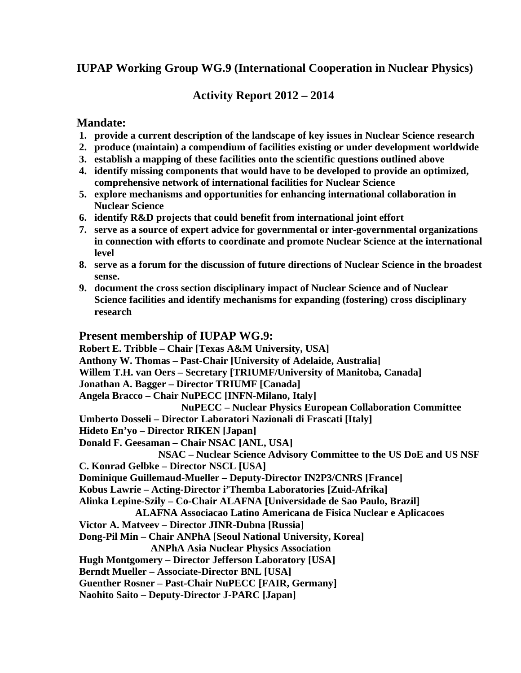### **IUPAP Working Group WG.9 (International Cooperation in Nuclear Physics)**

#### **Activity Report 2012 – 2014**

#### **Mandate:**

- **1. provide a current description of the landscape of key issues in Nuclear Science research**
- **2. produce (maintain) a compendium of facilities existing or under development worldwide**
- **3. establish a mapping of these facilities onto the scientific questions outlined above**
- **4. identify missing components that would have to be developed to provide an optimized, comprehensive network of international facilities for Nuclear Science**
- **5. explore mechanisms and opportunities for enhancing international collaboration in Nuclear Science**
- **6. identify R&D projects that could benefit from international joint effort**
- **7. serve as a source of expert advice for governmental or inter-governmental organizations in connection with efforts to coordinate and promote Nuclear Science at the international level**
- **8. serve as a forum for the discussion of future directions of Nuclear Science in the broadest sense.**
- **9. document the cross section disciplinary impact of Nuclear Science and of Nuclear Science facilities and identify mechanisms for expanding (fostering) cross disciplinary research**

#### **Present membership of IUPAP WG.9:**

**Robert E. Tribble – Chair [Texas A&M University, USA] Anthony W. Thomas – Past-Chair [University of Adelaide, Australia] Willem T.H. van Oers – Secretary [TRIUMF/University of Manitoba, Canada] Jonathan A. Bagger – Director TRIUMF [Canada] Angela Bracco – Chair NuPECC [INFN-Milano, Italy] NuPECC – Nuclear Physics European Collaboration Committee Umberto Dosseli – Director Laboratori Nazionali di Frascati [Italy] Hideto En'yo – Director RIKEN [Japan] Donald F. Geesaman – Chair NSAC [ANL, USA] NSAC – Nuclear Science Advisory Committee to the US DoE and US NSF C. Konrad Gelbke – Director NSCL [USA] Dominique Guillemaud-Mueller – Deputy-Director IN2P3/CNRS [France] Kobus Lawrie – Acting-Director i'Themba Laboratories [Zuid-Afrika] Alinka Lepine-Szily – Co-Chair ALAFNA [Universidade de Sao Paulo, Brazil] ALAFNA Associacao Latino Americana de Fisica Nuclear e Aplicacoes Victor A. Matveev – Director JINR-Dubna [Russia] Dong-Pil Min – Chair ANPhA [Seoul National University, Korea] ANPhA Asia Nuclear Physics Association Hugh Montgomery – Director Jefferson Laboratory [USA] Berndt Mueller – Associate-Director BNL [USA] Guenther Rosner – Past-Chair NuPECC [FAIR, Germany] Naohito Saito – Deputy-Director J-PARC [Japan]**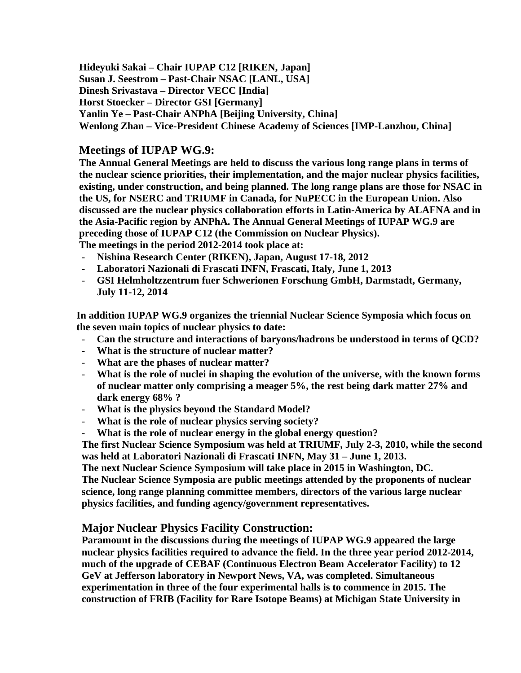**Hideyuki Sakai – Chair IUPAP C12 [RIKEN, Japan] Susan J. Seestrom – Past-Chair NSAC [LANL, USA] Dinesh Srivastava – Director VECC [India] Horst Stoecker – Director GSI [Germany] Yanlin Ye – Past-Chair ANPhA [Beijing University, China] Wenlong Zhan – Vice-President Chinese Academy of Sciences [IMP-Lanzhou, China]** 

#### **Meetings of IUPAP WG.9:**

**The Annual General Meetings are held to discuss the various long range plans in terms of the nuclear science priorities, their implementation, and the major nuclear physics facilities, existing, under construction, and being planned. The long range plans are those for NSAC in the US, for NSERC and TRIUMF in Canada, for NuPECC in the European Union. Also discussed are the nuclear physics collaboration efforts in Latin-America by ALAFNA and in the Asia-Pacific region by ANPhA. The Annual General Meetings of IUPAP WG.9 are preceding those of IUPAP C12 (the Commission on Nuclear Physics). The meetings in the period 2012-2014 took place at:**

- **Nishina Research Center (RIKEN), Japan, August 17-18, 2012**
- **Laboratori Nazionali di Frascati INFN, Frascati, Italy, June 1, 2013**
- **GSI Helmholtzzentrum fuer Schwerionen Forschung GmbH, Darmstadt, Germany, July 11-12, 2014**

**In addition IUPAP WG.9 organizes the triennial Nuclear Science Symposia which focus on the seven main topics of nuclear physics to date:**

- **Can the structure and interactions of baryons/hadrons be understood in terms of QCD?**
- **What is the structure of nuclear matter?**
- **What are the phases of nuclear matter?**
- **What is the role of nuclei in shaping the evolution of the universe, with the known forms of nuclear matter only comprising a meager 5%, the rest being dark matter 27% and dark energy 68% ?**
- **What is the physics beyond the Standard Model?**
- **What is the role of nuclear physics serving society?**
- **What is the role of nuclear energy in the global energy question?**

**The first Nuclear Science Symposium was held at TRIUMF, July 2-3, 2010, while the second was held at Laboratori Nazionali di Frascati INFN, May 31 – June 1, 2013.**

**The next Nuclear Science Symposium will take place in 2015 in Washington, DC. The Nuclear Science Symposia are public meetings attended by the proponents of nuclear science, long range planning committee members, directors of the various large nuclear physics facilities, and funding agency/government representatives.**

#### **Major Nuclear Physics Facility Construction:**

**Paramount in the discussions during the meetings of IUPAP WG.9 appeared the large nuclear physics facilities required to advance the field. In the three year period 2012-2014, much of the upgrade of CEBAF (Continuous Electron Beam Accelerator Facility) to 12 GeV at Jefferson laboratory in Newport News, VA, was completed. Simultaneous experimentation in three of the four experimental halls is to commence in 2015. The construction of FRIB (Facility for Rare Isotope Beams) at Michigan State University in**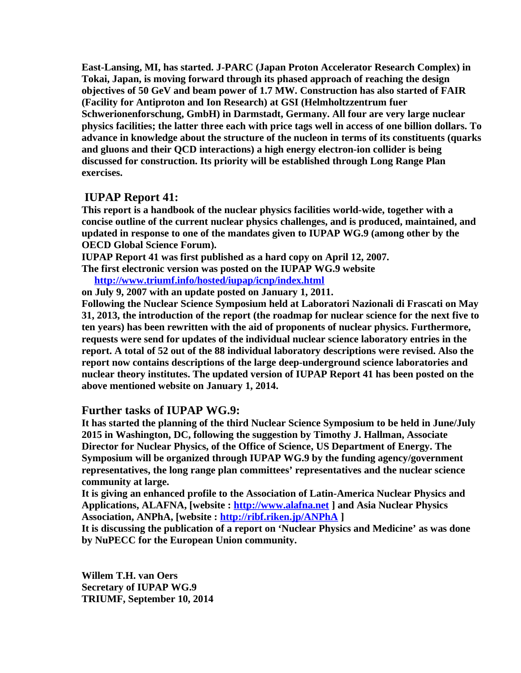**East-Lansing, MI, has started. J-PARC (Japan Proton Accelerator Research Complex) in Tokai, Japan, is moving forward through its phased approach of reaching the design objectives of 50 GeV and beam power of 1.7 MW. Construction has also started of FAIR (Facility for Antiproton and Ion Research) at GSI (Helmholtzzentrum fuer Schwerionenforschung, GmbH) in Darmstadt, Germany. All four are very large nuclear physics facilities; the latter three each with price tags well in access of one billion dollars. To advance in knowledge about the structure of the nucleon in terms of its constituents (quarks and gluons and their QCD interactions) a high energy electron-ion collider is being discussed for construction. Its priority will be established through Long Range Plan exercises.** 

#### **IUPAP Report 41:**

**This report is a handbook of the nuclear physics facilities world-wide, together with a concise outline of the current nuclear physics challenges, and is produced, maintained, and updated in response to one of the mandates given to IUPAP WG.9 (among other by the OECD Global Science Forum).**

**IUPAP Report 41 was first published as a hard copy on April 12, 2007.**

**The first electronic version was posted on the IUPAP WG.9 website http://www.triumf.info/hosted/iupap/icnp/index.html**

**on July 9, 2007 with an update posted on January 1, 2011.**

**Following the Nuclear Science Symposium held at Laboratori Nazionali di Frascati on May 31, 2013, the introduction of the report (the roadmap for nuclear science for the next five to ten years) has been rewritten with the aid of proponents of nuclear physics. Furthermore, requests were send for updates of the individual nuclear science laboratory entries in the report. A total of 52 out of the 88 individual laboratory descriptions were revised. Also the report now contains descriptions of the large deep-underground science laboratories and nuclear theory institutes. The updated version of IUPAP Report 41 has been posted on the above mentioned website on January 1, 2014.**

#### **Further tasks of IUPAP WG.9:**

**It has started the planning of the third Nuclear Science Symposium to be held in June/July 2015 in Washington, DC, following the suggestion by Timothy J. Hallman, Associate Director for Nuclear Physics, of the Office of Science, US Department of Energy. The Symposium will be organized through IUPAP WG.9 by the funding agency/government representatives, the long range plan committees' representatives and the nuclear science community at large.** 

**It is giving an enhanced profile to the Association of Latin-America Nuclear Physics and Applications, ALAFNA, [website : http://www.alafna.net ] and Asia Nuclear Physics Association, ANPhA, [website : http://ribf.riken.jp/ANPhA ]**

**It is discussing the publication of a report on 'Nuclear Physics and Medicine' as was done by NuPECC for the European Union community.**

**Willem T.H. van Oers Secretary of IUPAP WG.9 TRIUMF, September 10, 2014**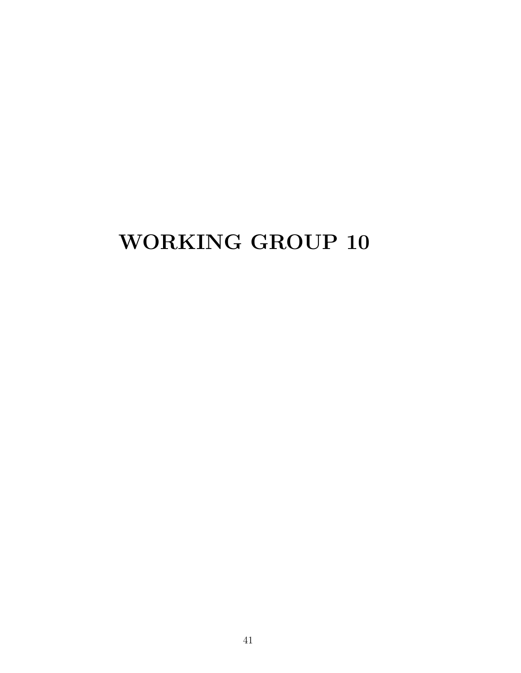## WORKING GROUP 10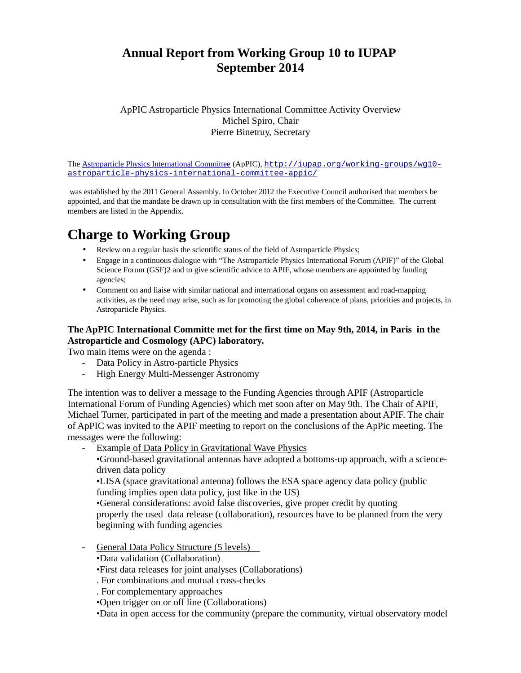### **Annual Report from Working Group 10 to IUPAP September 2014**

ApPIC Astroparticle Physics International Committee Activity Overview Michel Spiro, Chair Pierre Binetruy, Secretary

The Astroparticle Physics International Committee (ApPIC), http://iupap.org/working-groups/wg10 astroparticle-physics-international-committee-appic/

 was established by the 2011 General Assembly. In October 2012 the Executive Council authorised that members be appointed, and that the mandate be drawn up in consultation with the first members of the Committee. The current members are listed in the Appendix.

## **Charge to Working Group**

- Review on a regular basis the scientific status of the field of Astroparticle Physics;
- Engage in a continuous dialogue with "The Astroparticle Physics International Forum (APIF)" of the Global Science Forum (GSF)2 and to give scientific advice to APIF, whose members are appointed by funding agencies;
- Comment on and liaise with similar national and international organs on assessment and road-mapping activities, as the need may arise, such as for promoting the global coherence of plans, priorities and projects, in Astroparticle Physics.

#### **The ApPIC International Committe met for the first time on May 9th, 2014, in Paris in the Astroparticle and Cosmology (APC) laboratory.**

Two main items were on the agenda :

- Data Policy in Astro-particle Physics
- High Energy Multi-Messenger Astronomy

The intention was to deliver a message to the Funding Agencies through APIF (Astroparticle International Forum of Funding Agencies) which met soon after on May 9th. The Chair of APIF, Michael Turner, participated in part of the meeting and made a presentation about APIF. The chair of ApPIC was invited to the APIF meeting to report on the conclusions of the ApPic meeting. The messages were the following:

Example of Data Policy in Gravitational Wave Physics

•Ground-based gravitational antennas have adopted a bottoms-up approach, with a sciencedriven data policy

•LISA (space gravitational antenna) follows the ESA space agency data policy (public funding implies open data policy, just like in the US)

•General considerations: avoid false discoveries, give proper credit by quoting properly the used data release (collaboration), resources have to be planned from the very beginning with funding agencies

General Data Policy Structure (5 levels)

•Data validation (Collaboration)

•First data releases for joint analyses (Collaborations)

. For combinations and mutual cross-checks

. For complementary approaches

•Open trigger on or off line (Collaborations)

•Data in open access for the community (prepare the community, virtual observatory model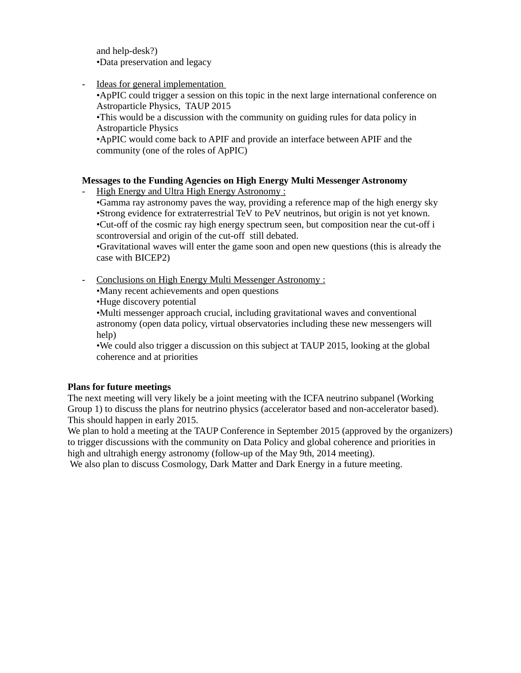and help-desk?) •Data preservation and legacy

Ideas for general implementation

•ApPIC could trigger a session on this topic in the next large international conference on Astroparticle Physics, TAUP 2015

•This would be a discussion with the community on guiding rules for data policy in Astroparticle Physics

•ApPIC would come back to APIF and provide an interface between APIF and the community (one of the roles of ApPIC)

#### **Messages to the Funding Agencies on High Energy Multi Messenger Astronomy**

High Energy and Ultra High Energy Astronomy:

•Gamma ray astronomy paves the way, providing a reference map of the high energy sky •Strong evidence for extraterrestrial TeV to PeV neutrinos, but origin is not yet known. •Cut-off of the cosmic ray high energy spectrum seen, but composition near the cut-off i scontroversial and origin of the cut-off still debated.

•Gravitational waves will enter the game soon and open new questions (this is already the case with BICEP2)

- Conclusions on High Energy Multi Messenger Astronomy :

•Many recent achievements and open questions

•Huge discovery potential

•Multi messenger approach crucial, including gravitational waves and conventional astronomy (open data policy, virtual observatories including these new messengers will help)

•We could also trigger a discussion on this subject at TAUP 2015, looking at the global coherence and at priorities

#### **Plans for future meetings**

The next meeting will very likely be a joint meeting with the ICFA neutrino subpanel (Working Group 1) to discuss the plans for neutrino physics (accelerator based and non-accelerator based). This should happen in early 2015.

We plan to hold a meeting at the TAUP Conference in September 2015 (approved by the organizers) to trigger discussions with the community on Data Policy and global coherence and priorities in high and ultrahigh energy astronomy (follow-up of the May 9th, 2014 meeting).

We also plan to discuss Cosmology, Dark Matter and Dark Energy in a future meeting.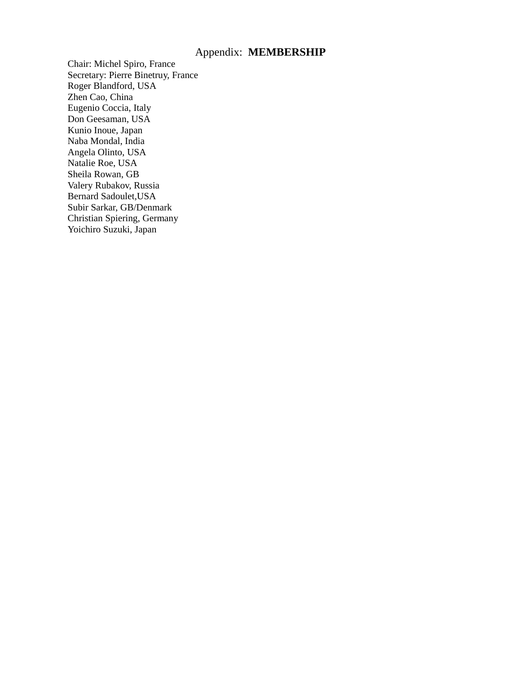#### Appendix: **MEMBERSHIP**

Chair: Michel Spiro, France Secretary: Pierre Binetruy, France Roger Blandford, USA Zhen Cao, China Eugenio Coccia, Italy Don Geesaman, USA Kunio Inoue, Japan Naba Mondal, India Angela Olinto, USA Natalie Roe, USA Sheila Rowan, GB Valery Rubakov, Russia Bernard Sadoulet,USA Subir Sarkar, GB/Denmark Christian Spiering, Germany Yoichiro Suzuki, Japan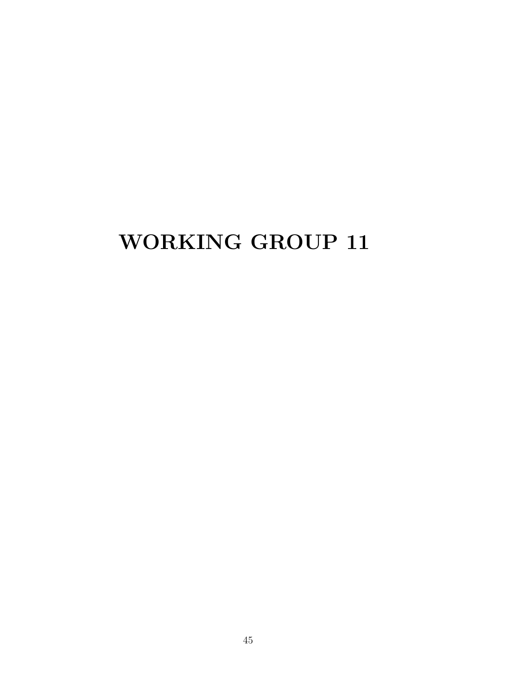## WORKING GROUP 11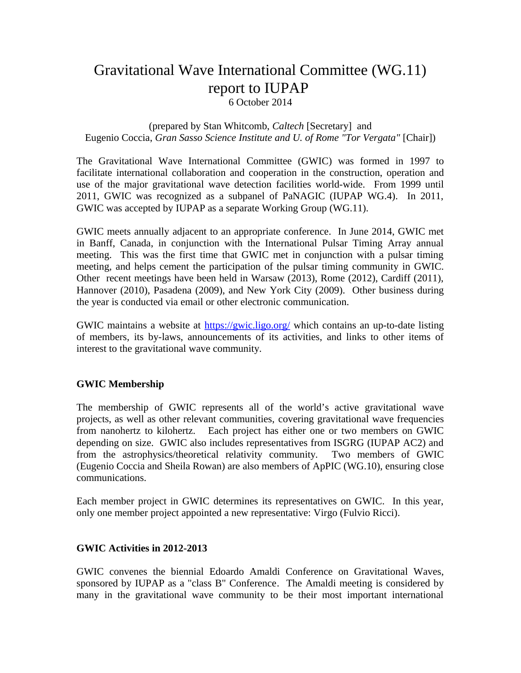### Gravitational Wave International Committee (WG.11) report to IUPAP 6 October 2014

#### (prepared by Stan Whitcomb, *Caltech* [Secretary] and Eugenio Coccia, *Gran Sasso Science Institute and U. of Rome "Tor Vergata"* [Chair])

The Gravitational Wave International Committee (GWIC) was formed in 1997 to facilitate international collaboration and cooperation in the construction, operation and use of the major gravitational wave detection facilities world-wide. From 1999 until 2011, GWIC was recognized as a subpanel of PaNAGIC (IUPAP WG.4). In 2011, GWIC was accepted by IUPAP as a separate Working Group (WG.11).

GWIC meets annually adjacent to an appropriate conference. In June 2014, GWIC met in Banff, Canada, in conjunction with the International Pulsar Timing Array annual meeting. This was the first time that GWIC met in conjunction with a pulsar timing meeting, and helps cement the participation of the pulsar timing community in GWIC. Other recent meetings have been held in Warsaw (2013), Rome (2012), Cardiff (2011), Hannover (2010), Pasadena (2009), and New York City (2009). Other business during the year is conducted via email or other electronic communication.

GWIC maintains a website at https://gwic.ligo.org/ which contains an up-to-date listing of members, its by-laws, announcements of its activities, and links to other items of interest to the gravitational wave community.

#### **GWIC Membership**

The membership of GWIC represents all of the world's active gravitational wave projects, as well as other relevant communities, covering gravitational wave frequencies from nanohertz to kilohertz. Each project has either one or two members on GWIC depending on size. GWIC also includes representatives from ISGRG (IUPAP AC2) and from the astrophysics/theoretical relativity community. Two members of GWIC (Eugenio Coccia and Sheila Rowan) are also members of ApPIC (WG.10), ensuring close communications.

Each member project in GWIC determines its representatives on GWIC. In this year, only one member project appointed a new representative: Virgo (Fulvio Ricci).

#### **GWIC Activities in 2012-2013**

GWIC convenes the biennial Edoardo Amaldi Conference on Gravitational Waves, sponsored by IUPAP as a "class B" Conference. The Amaldi meeting is considered by many in the gravitational wave community to be their most important international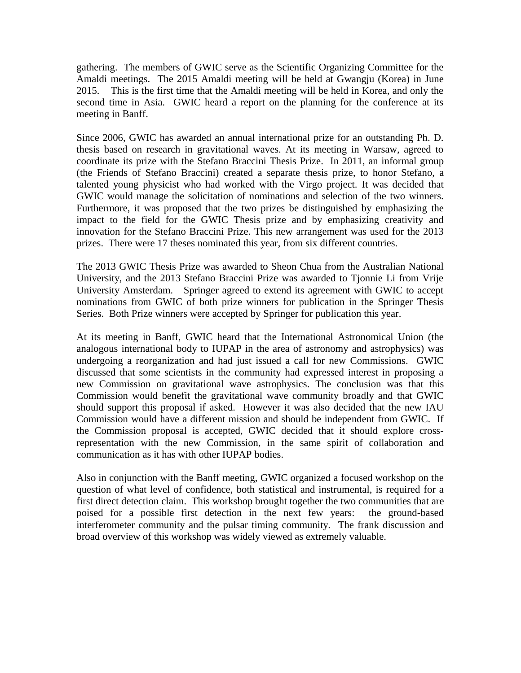gathering. The members of GWIC serve as the Scientific Organizing Committee for the Amaldi meetings. The 2015 Amaldi meeting will be held at Gwangju (Korea) in June 2015. This is the first time that the Amaldi meeting will be held in Korea, and only the second time in Asia. GWIC heard a report on the planning for the conference at its meeting in Banff.

Since 2006, GWIC has awarded an annual international prize for an outstanding Ph. D. thesis based on research in gravitational waves. At its meeting in Warsaw, agreed to coordinate its prize with the Stefano Braccini Thesis Prize. In 2011, an informal group (the Friends of Stefano Braccini) created a separate thesis prize, to honor Stefano, a talented young physicist who had worked with the Virgo project. It was decided that GWIC would manage the solicitation of nominations and selection of the two winners. Furthermore, it was proposed that the two prizes be distinguished by emphasizing the impact to the field for the GWIC Thesis prize and by emphasizing creativity and innovation for the Stefano Braccini Prize. This new arrangement was used for the 2013 prizes. There were 17 theses nominated this year, from six different countries.

The 2013 GWIC Thesis Prize was awarded to Sheon Chua from the Australian National University, and the 2013 Stefano Braccini Prize was awarded to Tjonnie Li from Vrije University Amsterdam. Springer agreed to extend its agreement with GWIC to accept nominations from GWIC of both prize winners for publication in the Springer Thesis Series. Both Prize winners were accepted by Springer for publication this year.

At its meeting in Banff, GWIC heard that the International Astronomical Union (the analogous international body to IUPAP in the area of astronomy and astrophysics) was undergoing a reorganization and had just issued a call for new Commissions. GWIC discussed that some scientists in the community had expressed interest in proposing a new Commission on gravitational wave astrophysics. The conclusion was that this Commission would benefit the gravitational wave community broadly and that GWIC should support this proposal if asked. However it was also decided that the new IAU Commission would have a different mission and should be independent from GWIC. If the Commission proposal is accepted, GWIC decided that it should explore crossrepresentation with the new Commission, in the same spirit of collaboration and communication as it has with other IUPAP bodies.

Also in conjunction with the Banff meeting, GWIC organized a focused workshop on the question of what level of confidence, both statistical and instrumental, is required for a first direct detection claim. This workshop brought together the two communities that are poised for a possible first detection in the next few years: the ground-based interferometer community and the pulsar timing community. The frank discussion and broad overview of this workshop was widely viewed as extremely valuable.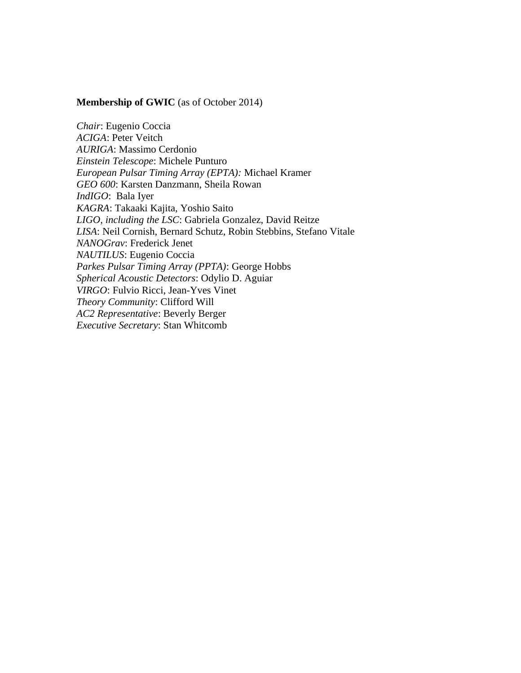#### **Membership of GWIC** (as of October 2014)

*Chair*: Eugenio Coccia *ACIGA*: Peter Veitch *AURIGA*: Massimo Cerdonio *Einstein Telescope*: Michele Punturo *European Pulsar Timing Array (EPTA):* Michael Kramer *GEO 600*: Karsten Danzmann, Sheila Rowan *IndIGO*: Bala Iyer *KAGRA*: Takaaki Kajita, Yoshio Saito *LIGO, including the LSC*: Gabriela Gonzalez, David Reitze *LISA*: Neil Cornish, Bernard Schutz, Robin Stebbins, Stefano Vitale *NANOGrav*: Frederick Jenet *NAUTILUS*: Eugenio Coccia *Parkes Pulsar Timing Array (PPTA)*: George Hobbs *Spherical Acoustic Detectors*: Odylio D. Aguiar *VIRGO*: Fulvio Ricci, Jean-Yves Vinet *Theory Community*: Clifford Will *AC2 Representative*: Beverly Berger *Executive Secretary*: Stan Whitcomb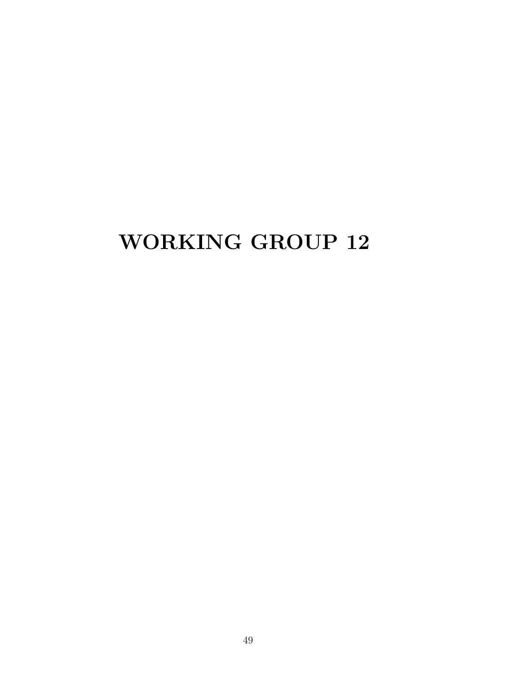## WORKING GROUP 12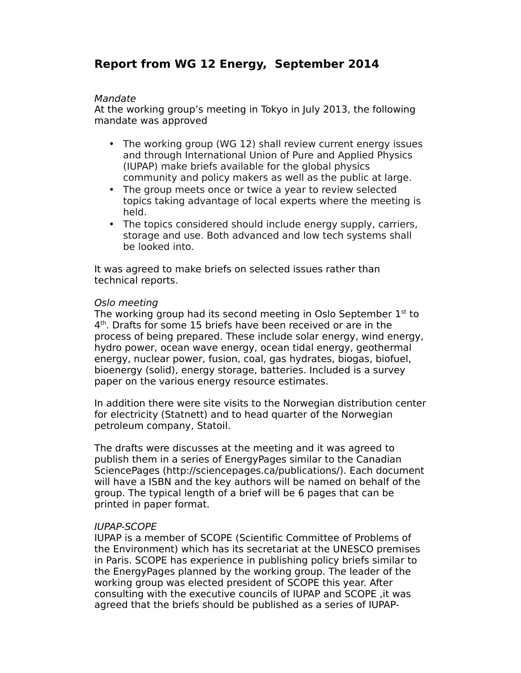### **Report from WG 12 Energy, September 2014**

#### Mandate

At the working group's meeting in Tokyo in July 2013, the following mandate was approved

- The working group (WG 12) shall review current energy issues and through International Union of Pure and Applied Physics (IUPAP) make briefs available for the global physics community and policy makers as well as the public at large.
- The group meets once or twice a year to review selected topics taking advantage of local experts where the meeting is held.
- The topics considered should include energy supply, carriers, storage and use. Both advanced and low tech systems shall be looked into.

It was agreed to make briefs on selected issues rather than technical reports.

#### Oslo meeting

The working group had its second meeting in Oslo September  $1<sup>st</sup>$  to 4 th. Drafts for some 15 briefs have been received or are in the process of being prepared. These include solar energy, wind energy, hydro power, ocean wave energy, ocean tidal energy, geothermal energy, nuclear power, fusion, coal, gas hydrates, biogas, biofuel, bioenergy (solid), energy storage, batteries. Included is a survey paper on the various energy resource estimates.

In addition there were site visits to the Norwegian distribution center for electricity (Statnett) and to head quarter of the Norwegian petroleum company, Statoil.

The drafts were discusses at the meeting and it was agreed to publish them in a series of EnergyPages similar to the Canadian SciencePages (http://sciencepages.ca/publications/). Each document will have a ISBN and the key authors will be named on behalf of the group. The typical length of a brief will be 6 pages that can be printed in paper format.

#### IUPAP-SCOPE

IUPAP is a member of SCOPE (Scientific Committee of Problems of the Environment) which has its secretariat at the UNESCO premises in Paris. SCOPE has experience in publishing policy briefs similar to the EnergyPages planned by the working group. The leader of the working group was elected president of SCOPE this year. After consulting with the executive councils of IUPAP and SCOPE ,it was agreed that the briefs should be published as a series of IUPAP-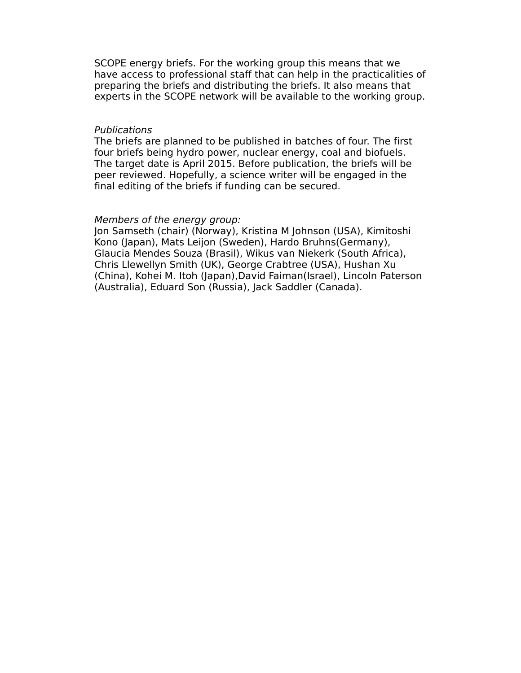SCOPE energy briefs. For the working group this means that we have access to professional staff that can help in the practicalities of preparing the briefs and distributing the briefs. It also means that experts in the SCOPE network will be available to the working group.

#### Publications

The briefs are planned to be published in batches of four. The first four briefs being hydro power, nuclear energy, coal and biofuels. The target date is April 2015. Before publication, the briefs will be peer reviewed. Hopefully, a science writer will be engaged in the final editing of the briefs if funding can be secured.

#### Members of the energy group:

Jon Samseth (chair) (Norway), Kristina M Johnson (USA), Kimitoshi Kono (Japan), Mats Leijon (Sweden), Hardo Bruhns(Germany), Glaucia Mendes Souza (Brasil), Wikus van Niekerk (South Africa), Chris Llewellyn Smith (UK), George Crabtree (USA), Hushan Xu (China), Kohei M. Itoh (Japan),David Faiman(Israel), Lincoln Paterson (Australia), Eduard Son (Russia), Jack Saddler (Canada).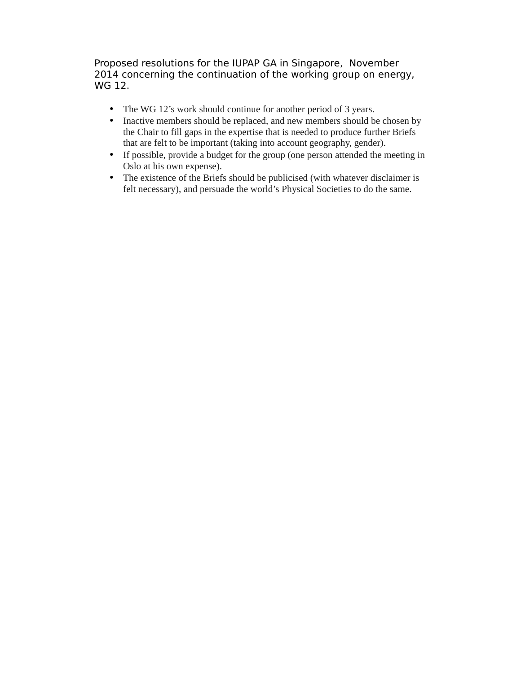Proposed resolutions for the IUPAP GA in Singapore, November 2014 concerning the continuation of the working group on energy, WG 12.

- The WG 12's work should continue for another period of 3 years.
- Inactive members should be replaced, and new members should be chosen by the Chair to fill gaps in the expertise that is needed to produce further Briefs that are felt to be important (taking into account geography, gender).
- If possible, provide a budget for the group (one person attended the meeting in Oslo at his own expense).
- The existence of the Briefs should be publicised (with whatever disclaimer is felt necessary), and persuade the world's Physical Societies to do the same.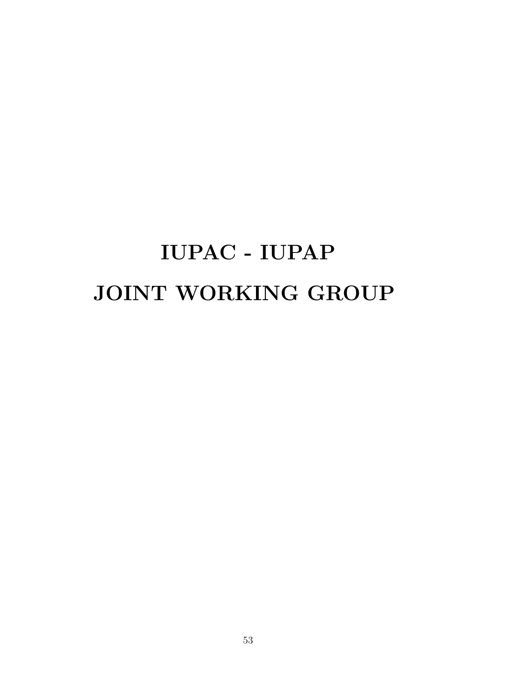# IUPAC - IUPAP JOINT WORKING GROUP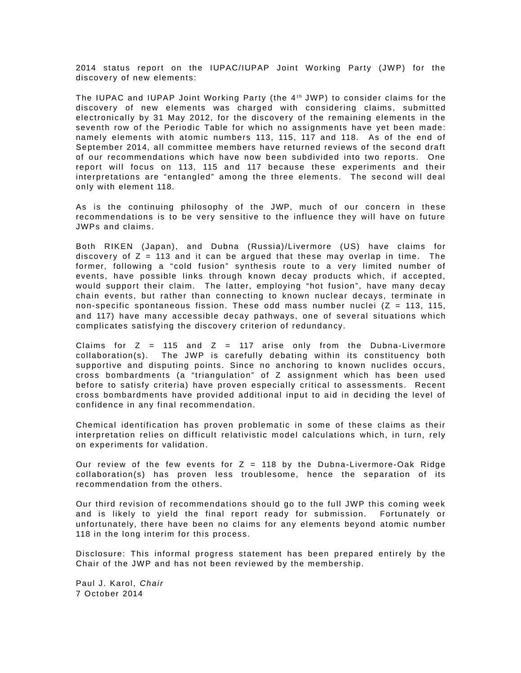2014 status report on the IUPAC/IUPAP Joint Working Party (JWP) for the discovery of new elements:

The IUPAC and IUPAP Joint Working Party (the 4<sup>th</sup> JWP) to consider claims for the discovery of new elements was charged with considering claims, submitted electronically by 31 May 2012, for the discovery of the remaining elements in the seventh row of the Periodic Table for which no assignments have yet been made: namely elements with atomic numbers 113, 115, 117 and 118. As of the end of September 2014, all committee members have returned reviews of the second draft of our recommendations which have now been subdivided into two reports. One report will focus on 113, 115 and 117 because these experiments and their interpretations are "entangled" among the three elements. The second will deal only with element 118.

As is the continuing philosophy of the JWP, much of our concern in these recommendations is to be very sensitive to the influence they will have on future JWPs and claims.

Both RIKEN (Japan), and Dubna (Russia)/Livermore (US) have claims for discovery of  $Z = 113$  and it can be argued that these may overlap in time. The former, following a "cold fusion" synthesis route to a very limited number of events, have possible links through known decay products which, if accepted, would support their claim. The latter, employing "hot fusion", have many decay chain events, but rather than connecting to known nuclear decays, terminate in non-specific spontaneous fission. These odd mass number nuclei ( $Z = 113$ , 115, and 117) have many accessible decay pathways, one of several situations which complicates satisfying the discovery criterion of redundancy.

Claims for  $Z = 115$  and  $Z = 117$  arise only from the Dubna-Livermore collaboration(s). The JWP is carefully debating within its constituency both supportive and disputing points. Since no anchoring to known nuclides occurs, cross bombardments (a "triangulation" of Z assignment which has been used before to satisfy criteria) have proven especially critical to assessments. Recent cross bombardments have provided additional input to aid in deciding the level of confidence in any final recommendation.

Chemical identification has proven problematic in some of these claims as their interpretation relies on difficult relativistic model calculations which, in turn, rely on experiments for validation.

Our review of the few events for  $Z = 118$  by the Dubna-Livermore-Oak Ridge collaboration(s) has proven less troublesome, hence the separation of its recommendation from the others.

Our third revision of recommendations should go to the full JWP this coming week and is likely to yield the final report ready for submission. Fortunately or unfortunately, there have been no claims for any elements beyond atomic number 118 in the long interim for this process.

Disclosure: This informal progress statement has been prepared entirely by the Chair of the JWP and has not been reviewed by the membership.

Paul J. Karol, Chair 7 October 2014